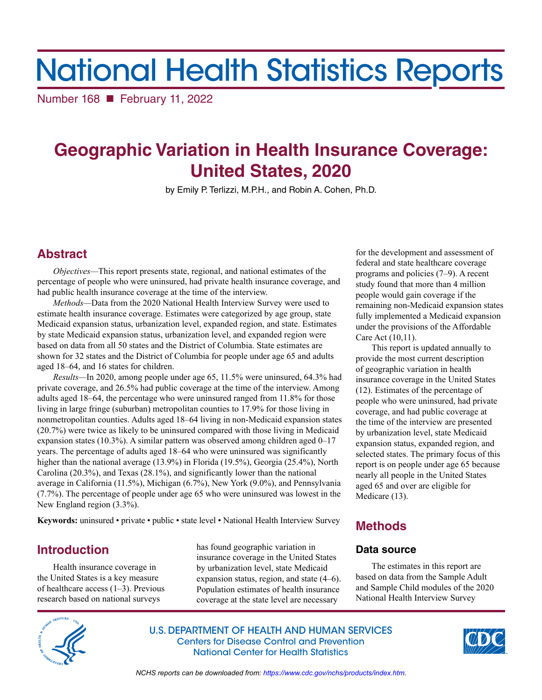# National Health Statistics Reports

Number 168 February 11, 2022

## **Geographic Variation in Health Insurance Coverage: United States, 2020**

by Emily P. Terlizzi, M.P.H., and Robin A. Cohen, Ph.D.

## **Abstract**

*Objectives—*This report presents state, regional, and national estimates of the percentage of people who were uninsured, had private health insurance coverage, and had public health insurance coverage at the time of the interview.

*Methods—*Data from the 2020 National Health Interview Survey were used to estimate health insurance coverage. Estimates were categorized by age group, state Medicaid expansion status, urbanization level, expanded region, and state. Estimates by state Medicaid expansion status, urbanization level, and expanded region were based on data from all 50 states and the District of Columbia. State estimates are shown for 32 states and the District of Columbia for people under age 65 and adults aged 18–64, and 16 states for children.

*Results—*In 2020, among people under age 65, 11.5% were uninsured, 64.3% had private coverage, and 26.5% had public coverage at the time of the interview. Among adults aged 18–64, the percentage who were uninsured ranged from 11.8% for those living in large fringe (suburban) metropolitan counties to 17.9% for those living in nonmetropolitan counties. Adults aged 18–64 living in non-Medicaid expansion states (20.7%) were twice as likely to be uninsured compared with those living in Medicaid expansion states (10.3%). A similar pattern was observed among children aged  $0-17$ years. The percentage of adults aged 18–64 who were uninsured was significantly higher than the national average (13.9%) in Florida (19.5%), Georgia (25.4%), North Carolina (20.3%), and Texas (28.1%), and significantly lower than the national average in California (11.5%), Michigan (6.7%), New York (9.0%), and Pennsylvania (7.7%). The percentage of people under age 65 who were uninsured was lowest in the New England region (3.3%).

**Keywords:** uninsured • private • public • state level • National Health Interview Survey

## **Introduction**

Health insurance coverage in the United States is a key measure of healthcare access (1–3). Previous research based on national surveys

has found geographic variation in insurance coverage in the United States by urbanization level, state Medicaid expansion status, region, and state (4–6). Population estimates of health insurance coverage at the state level are necessary

for the development and assessment of federal and state healthcare coverage programs and policies (7–9). A recent study found that more than 4 million people would gain coverage if the remaining non-Medicaid expansion states fully implemented a Medicaid expansion under the provisions of the Affordable Care Act (10,11).

This report is updated annually to provide the most current description of geographic variation in health insurance coverage in the United States (12). Estimates of the percentage of people who were uninsured, had private coverage, and had public coverage at the time of the interview are presented by urbanization level, state Medicaid expansion status, expanded region, and selected states. The primary focus of this report is on people under age 65 because nearly all people in the United States aged 65 and over are eligible for Medicare (13).

## **Methods**

## **Data source**

The estimates in this report are based on data from the Sample Adult and Sample Child modules of the 2020 National Health Interview Survey



U.S. DEPARTMENT OF HEALTH AND HUMAN SERVICES Centers for Disease Control and Prevention National Center for Health Statistics



*NCHS reports can be downloaded from:<https://www.cdc.gov/nchs/products/index.htm>.*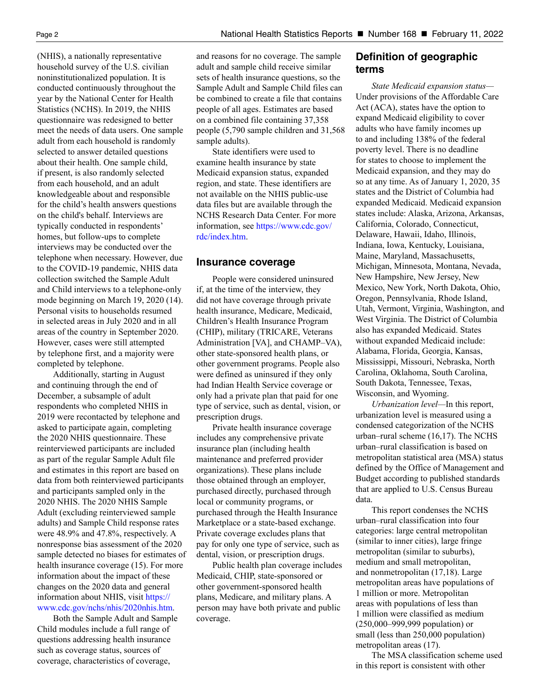(NHIS), a nationally representative household survey of the U.S. civilian noninstitutionalized population. It is conducted continuously throughout the year by the National Center for Health Statistics (NCHS). In 2019, the NHIS questionnaire was redesigned to better meet the needs of data users. One sample adult from each household is randomly selected to answer detailed questions about their health. One sample child, if present, is also randomly selected from each household, and an adult knowledgeable about and responsible for the child's health answers questions on the child's behalf. Interviews are typically conducted in respondents' homes, but follow-ups to complete interviews may be conducted over the telephone when necessary. However, due to the COVID-19 pandemic, NHIS data collection switched the Sample Adult and Child interviews to a telephone-only mode beginning on March 19, 2020 (14). Personal visits to households resumed in selected areas in July 2020 and in all areas of the country in September 2020. However, cases were still attempted by telephone first, and a majority were completed by telephone.

Additionally, starting in August and continuing through the end of December, a subsample of adult respondents who completed NHIS in 2019 were recontacted by telephone and asked to participate again, completing the 2020 NHIS questionnaire. These reinterviewed participants are included as part of the regular Sample Adult file and estimates in this report are based on data from both reinterviewed participants and participants sampled only in the 2020 NHIS. The 2020 NHIS Sample Adult (excluding reinterviewed sample adults) and Sample Child response rates were 48.9% and 47.8%, respectively. A nonresponse bias assessment of the 2020 sample detected no biases for estimates of health insurance coverage (15). For more information about the impact of these changes on the 2020 data and general information about NHIS, visit [https://](https://www.cdc.gov/nchs/nhis/2020nhis.htm) [www.cdc.gov/nchs/nhis/2020nhis.htm.](https://www.cdc.gov/nchs/nhis/2020nhis.htm)

Both the Sample Adult and Sample Child modules include a full range of questions addressing health insurance such as coverage status, sources of coverage, characteristics of coverage,

and reasons for no coverage. The sample adult and sample child receive similar sets of health insurance questions, so the Sample Adult and Sample Child files can be combined to create a file that contains people of all ages. Estimates are based on a combined file containing 37,358 people (5,790 sample children and 31,568 sample adults).

State identifiers were used to examine health insurance by state Medicaid expansion status, expanded region, and state. These identifiers are not available on the NHIS public-use data files but are available through the NCHS Research Data Center. For more information, se[e https://www.cdc.gov/](https://www.cdc.gov/rdc/index.htm) [rdc/index.htm.](https://www.cdc.gov/rdc/index.htm)

#### **Insurance coverage**

People were considered uninsured if, at the time of the interview, they did not have coverage through private health insurance, Medicare, Medicaid, Children's Health Insurance Program (CHIP), military (TRICARE, Veterans Administration [VA], and CHAMP–VA), other state-sponsored health plans, or other government programs. People also were defined as uninsured if they only had Indian Health Service coverage or only had a private plan that paid for one type of service, such as dental, vision, or prescription drugs.

Private health insurance coverage includes any comprehensive private insurance plan (including health maintenance and preferred provider organizations). These plans include those obtained through an employer, purchased directly, purchased through local or community programs, or purchased through the Health Insurance Marketplace or a state-based exchange. Private coverage excludes plans that pay for only one type of service, such as dental, vision, or prescription drugs.

Public health plan coverage includes Medicaid, CHIP, state-sponsored or other government-sponsored health plans, Medicare, and military plans. A person may have both private and public coverage.

### **Definition of geographic terms**

*State Medicaid expansion status—* Under provisions of the Affordable Care Act (ACA), states have the option to expand Medicaid eligibility to cover adults who have family incomes up to and including 138% of the federal poverty level. There is no deadline for states to choose to implement the Medicaid expansion, and they may do so at any time. As of January 1, 2020, 35 states and the District of Columbia had expanded Medicaid. Medicaid expansion states include: Alaska, Arizona, Arkansas, California, Colorado, Connecticut, Delaware, Hawaii, Idaho, Illinois, Indiana, Iowa, Kentucky, Louisiana, Maine, Maryland, Massachusetts, Michigan, Minnesota, Montana, Nevada, New Hampshire, New Jersey, New Mexico, New York, North Dakota, Ohio, Oregon, Pennsylvania, Rhode Island, Utah, Vermont, Virginia, Washington, and West Virginia. The District of Columbia also has expanded Medicaid. States without expanded Medicaid include: Alabama, Florida, Georgia, Kansas, Mississippi, Missouri, Nebraska, North Carolina, Oklahoma, South Carolina, South Dakota, Tennessee, Texas, Wisconsin, and Wyoming.

*Urbanization level—*In this report, urbanization level is measured using a condensed categorization of the NCHS urban–rural scheme (16,17). The NCHS urban–rural classification is based on metropolitan statistical area (MSA) status defined by the Office of Management and Budget according to published standards that are applied to U.S. Census Bureau data.

This report condenses the NCHS urban–rural classification into four categories: large central metropolitan (similar to inner cities), large fringe metropolitan (similar to suburbs), medium and small metropolitan, and nonmetropolitan (17,18). Large metropolitan areas have populations of 1 million or more. Metropolitan areas with populations of less than 1 million were classified as medium (250,000–999,999 population) or small (less than 250,000 population) metropolitan areas (17).

The MSA classification scheme used in this report is consistent with other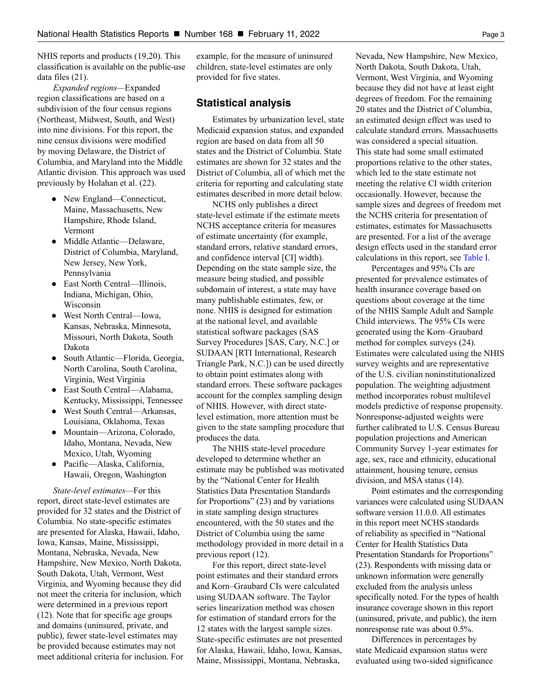NHIS reports and products (19,20). This classification is available on the public-use data files (21).

*Expanded regions—*Expanded region classifications are based on a subdivision of the four census regions (Northeast, Midwest, South, and West) into nine divisions. For this report, the nine census divisions were modified by moving Delaware, the District of Columbia, and Maryland into the Middle Atlantic division. This approach was used previously by Holahan et al. (22).

- **●** New England—Connecticut, Maine, Massachusetts, New Hampshire, Rhode Island, Vermont
- **●** Middle Atlantic—Delaware, District of Columbia, Maryland, New Jersey, New York, Pennsylvania
- **●** East North Central—Illinois, Indiana, Michigan, Ohio, Wisconsin
- **●** West North Central—Iowa, Kansas, Nebraska, Minnesota, Missouri, North Dakota, South Dakota
- **●** South Atlantic—Florida, Georgia, North Carolina, South Carolina, Virginia, West Virginia
- **●** East South Central—Alabama, Kentucky, Mississippi, Tennessee
- **●** West South Central—Arkansas, Louisiana, Oklahoma, Texas
- **●** Mountain—Arizona, Colorado, Idaho, Montana, Nevada, New Mexico, Utah, Wyoming
- **●** Pacific—Alaska, California, Hawaii, Oregon, Washington

*State-level estimates—*For this report, direct state-level estimates are provided for 32 states and the District of Columbia. No state-specific estimates are presented for Alaska, Hawaii, Idaho, Iowa, Kansas, Maine, Mississippi, Montana, Nebraska, Nevada, New Hampshire, New Mexico, North Dakota, South Dakota, Utah, Vermont, West Virginia, and Wyoming because they did not meet the criteria for inclusion, which were determined in a previous report (12). Note that for specific age groups and domains (uninsured, private, and public), fewer state-level estimates may be provided because estimates may not meet additional criteria for inclusion. For example, for the measure of uninsured children, state-level estimates are only provided for five states.

#### **Statistical analysis**

Estimates by urbanization level, state Medicaid expansion status, and expanded region are based on data from all 50 states and the District of Columbia. State estimates are shown for 32 states and the District of Columbia, all of which met the criteria for reporting and calculating state estimates described in more detail below.

NCHS only publishes a direct state-level estimate if the estimate meets NCHS acceptance criteria for measures of estimate uncertainty (for example, standard errors, relative standard errors, and confidence interval [CI] width). Depending on the state sample size, the measure being studied, and possible subdomain of interest, a state may have many publishable estimates, few, or none. NHIS is designed for estimation at the national level, and available statistical software packages (SAS Survey Procedures [SAS, Cary, N.C.] or SUDAAN [RTI International, Research Triangle Park, N.C.]) can be used directly to obtain point estimates along with standard errors. These software packages account for the complex sampling design of NHIS. However, with direct statelevel estimation, more attention must be given to the state sampling procedure that produces the data.

The NHIS state-level procedure developed to determine whether an estimate may be published was motivated by the "National Center for Health Statistics Data Presentation Standards for Proportions" (23) and by variations in state sampling design structures encountered, with the 50 states and the District of Columbia using the same methodology provided in more detail in a previous report (12).

For this report, direct state-level point estimates and their standard errors and Korn–Graubard CIs were calculated using SUDAAN software. The Taylor series linearization method was chosen for estimation of standard errors for the 12 states with the largest sample sizes. State-specific estimates are not presented for Alaska, Hawaii, Idaho, Iowa, Kansas, Maine, Mississippi, Montana, Nebraska,

Nevada, New Hampshire, New Mexico, North Dakota, South Dakota, Utah, Vermont, West Virginia, and Wyoming because they did not have at least eight degrees of freedom. For the remaining 20 states and the District of Columbia, an estimated design effect was used to calculate standard errors. Massachusetts was considered a special situation. This state had some small estimated proportions relative to the other states, which led to the state estimate not meeting the relative CI width criterion occasionally. However, because the sample sizes and degrees of freedom met the NCHS criteria for presentation of estimates, estimates for Massachusetts are presented. For a list of the average design effects used in the standard error calculations in this report, see [Table I.](#page-15-0)

Percentages and 95% CIs are presented for prevalence estimates of health insurance coverage based on questions about coverage at the time of the NHIS Sample Adult and Sample Child interviews. The 95% CIs were generated using the Korn–Graubard method for complex surveys (24). Estimates were calculated using the NHIS survey weights and are representative of the U.S. civilian noninstitutionalized population. The weighting adjustment method incorporates robust multilevel models predictive of response propensity. Nonresponse-adjusted weights were further calibrated to U.S. Census Bureau population projections and American Community Survey 1-year estimates for age, sex, race and ethnicity, educational attainment, housing tenure, census division, and MSA status (14).

Point estimates and the corresponding variances were calculated using SUDAAN software version 11.0.0. All estimates in this report meet NCHS standards of reliability as specified in "National Center for Health Statistics Data Presentation Standards for Proportions" (23). Respondents with missing data or unknown information were generally excluded from the analysis unless specifically noted. For the types of health insurance coverage shown in this report (uninsured, private, and public), the item nonresponse rate was about 0.5%.

Differences in percentages by state Medicaid expansion status were evaluated using two-sided significance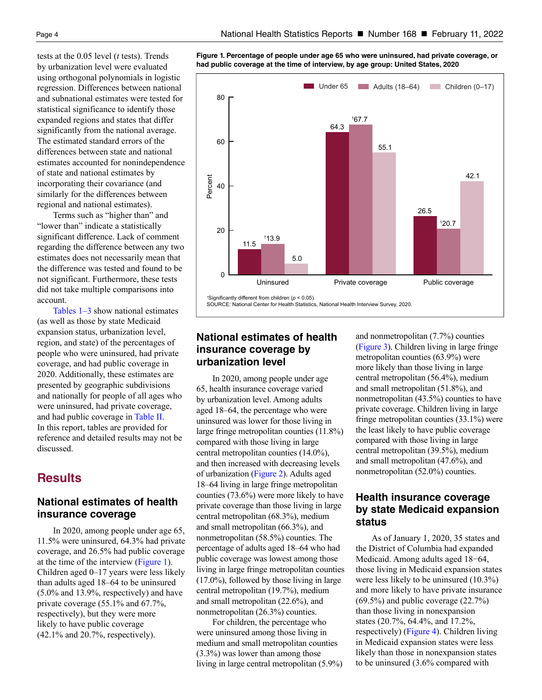tests at the 0.05 level (*t* tests). Trends by urbanization level were evaluated using orthogonal polynomials in logistic regression. Differences between national and subnational estimates were tested for statistical significance to identify those expanded regions and states that differ significantly from the national average. The estimated standard errors of the differences between state and national estimates accounted for nonindependence of state and national estimates by incorporating their covariance (and similarly for the differences between regional and national estimates).

Terms such as "higher than" and "lower than" indicate a statistically significant difference. Lack of comment regarding the difference between any two estimates does not necessarily mean that the difference was tested and found to be not significant. Furthermore, these tests did not take multiple comparisons into account.

[Tables 1–3](#page-9-0) show national estimates (as well as those by state Medicaid expansion status, urbanization level, region, and state) of the percentages of people who were uninsured, had private coverage, and had public coverage in 2020. Additionally, these estimates are presented by geographic subdivisions and nationally for people of all ages who were uninsured, had private coverage, and had public coverage in [Table II.](#page-15-0)  In this report, tables are provided for reference and detailed results may not be discussed.

## **Results**

## **National estimates of health insurance coverage**

In 2020, among people under age 65, 11.5% were uninsured, 64.3% had private coverage, and 26.5% had public coverage at the time of the interview (Figure 1). Children aged 0–17 years were less likely than adults aged 18–64 to be uninsured (5.0% and 13.9%, respectively) and have private coverage (55.1% and 67.7%, respectively), but they were more likely to have public coverage (42.1% and 20.7%, respectively).

**Figure 1. Percentage of people under age 65 who were uninsured, had private coverage, or had public coverage at the time of interview, by age group: United States, 2020**



ignificantly different from children  $(p < 0.05)$ . SOURCE: National Center for Health Statistics, National Health Interview Survey 2020

## **National estimates of health insurance coverage by urbanization level**

In 2020, among people under age 65, health insurance coverage varied by urbanization level. Among adults aged 18–64, the percentage who were uninsured was lower for those living in large fringe metropolitan counties (11.8%) compared with those living in large central metropolitan counties (14.0%), and then increased with decreasing levels of urbanization [\(Figure 2\)](#page-4-0). Adults aged 18–64 living in large fringe metropolitan counties (73.6%) were more likely to have private coverage than those living in large central metropolitan (68.3%), medium and small metropolitan (66.3%), and nonmetropolitan (58.5%) counties. The percentage of adults aged 18–64 who had public coverage was lowest among those living in large fringe metropolitan counties (17.0%), followed by those living in large central metropolitan (19.7%), medium and small metropolitan (22.6%), and nonmetropolitan (26.3%) counties.

For children, the percentage who were uninsured among those living in medium and small metropolitan counties (3.3%) was lower than among those living in large central metropolitan (5.9%) and nonmetropolitan (7.7%) counties [\(Figure 3\)](#page-4-0). Children living in large fringe metropolitan counties (63.9%) were more likely than those living in large central metropolitan (56.4%), medium and small metropolitan (51.8%), and nonmetropolitan (43.5%) counties to have private coverage. Children living in large fringe metropolitan counties (33.1%) were the least likely to have public coverage compared with those living in large central metropolitan (39.5%), medium and small metropolitan (47.6%), and nonmetropolitan (52.0%) counties.

## **Health insurance coverage by state Medicaid expansion status**

As of January 1, 2020, 35 states and the District of Columbia had expanded Medicaid. Among adults aged 18−64, those living in Medicaid expansion states were less likely to be uninsured (10.3%) and more likely to have private insurance  $(69.5\%)$  and public coverage  $(22.7\%)$ than those living in nonexpansion states (20.7%, 64.4%, and 17.2%, respectively) [\(Figure 4\).](#page-5-0) Children living in Medicaid expansion states were less likely than those in nonexpansion states to be uninsured (3.6% compared with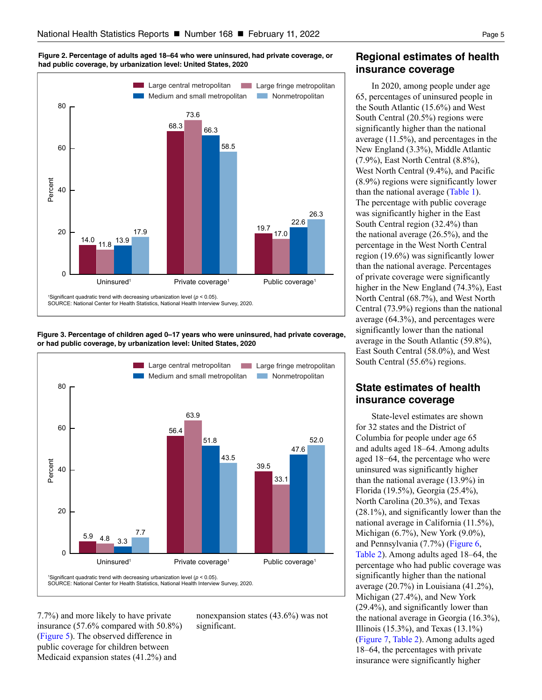<span id="page-4-0"></span>**Figure 2. Percentage of adults aged 18–64 who were uninsured, had private coverage, or had public coverage, by urbanization level: United States, 2020**







7.7%) and more likely to have private insurance (57.6% compared with 50.8%) [\(Figure 5\)](#page-5-0). The observed difference in public coverage for children between Medicaid expansion states (41.2%) and

nonexpansion states (43.6%) was not significant.

## **Regional estimates of health insurance coverage**

In 2020, among people under age 65, percentages of uninsured people in the South Atlantic (15.6%) and West South Central (20.5%) regions were significantly higher than the national average (11.5%), and percentages in the New England (3.3%), Middle Atlantic (7.9%), East North Central (8.8%), West North Central (9.4%), and Pacific (8.9%) regions were significantly lower than the national average [\(Table 1\)](#page-9-0). The percentage with public coverage was significantly higher in the East South Central region (32.4%) than the national average (26.5%), and the percentage in the West North Central region (19.6%) was significantly lower than the national average. Percentages of private coverage were significantly higher in the New England (74.3%), East North Central (68.7%), and West North Central (73.9%) regions than the national average (64.3%), and percentages were significantly lower than the national average in the South Atlantic (59.8%), East South Central (58.0%), and West South Central (55.6%) regions.

## **State estimates of health insurance coverage**

State-level estimates are shown for 32 states and the District of Columbia for people under age 65 and adults aged 18–64. Among adults aged 18−64, the percentage who were uninsured was significantly higher than the national average (13.9%) in Florida (19.5%), Georgia (25.4%), North Carolina (20.3%), and Texas (28.1%), and significantly lower than the national average in California (11.5%), Michigan (6.7%), New York (9.0%), and Pennsylvania (7.7%) [\(Figure 6,](#page-6-0) [Table 2\).](#page-11-0) Among adults aged 18–64, the percentage who had public coverage was significantly higher than the national average (20.7%) in Louisiana (41.2%), Michigan (27.4%), and New York (29.4%), and significantly lower than the national average in Georgia (16.3%), Illinois (15.3%), and Texas (13.1%) [\(Figure 7,](#page-6-0) [Table 2\)](#page-11-0). Among adults aged 18–64, the percentages with private insurance were significantly higher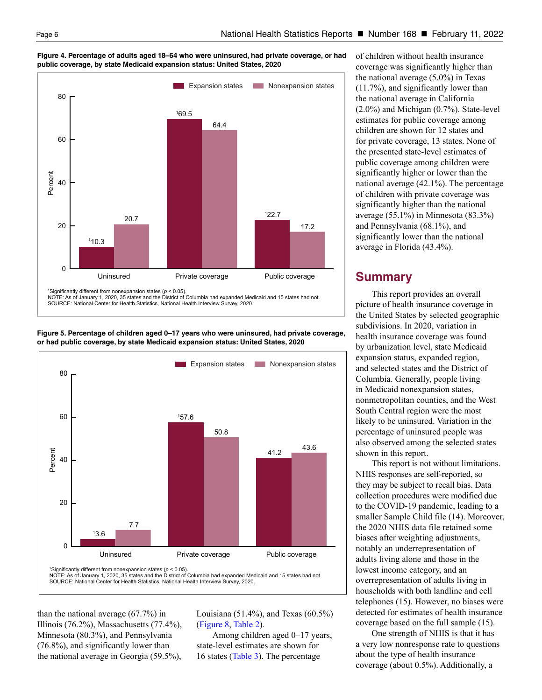<span id="page-5-0"></span>



**Figure 5. Percentage of children aged 0–17 years who were uninsured, had private coverage, or had public coverage, by state Medicaid expansion status: United States, 2020**



than the national average (67.7%) in Illinois (76.2%), Massachusetts (77.4%), Minnesota (80.3%), and Pennsylvania (76.8%), and significantly lower than the national average in Georgia (59.5%),

Louisiana (51.4%), and Texas (60.5%) [\(Figure 8,](#page-7-0) [Table 2\)](#page-11-0).

Among children aged 0–17 years, state-level estimates are shown for 16 states [\(Table 3\)](#page-13-0). The percentage

of children without health insurance coverage was significantly higher than the national average (5.0%) in Texas (11.7%), and significantly lower than the national average in California (2.0%) and Michigan (0.7%). State-level estimates for public coverage among children are shown for 12 states and for private coverage, 13 states. None of the presented state-level estimates of public coverage among children were significantly higher or lower than the national average (42.1%). The percentage of children with private coverage was significantly higher than the national average (55.1%) in Minnesota (83.3%) and Pennsylvania (68.1%), and significantly lower than the national average in Florida (43.4%).

## **Summary**

This report provides an overall picture of health insurance coverage in the United States by selected geographic subdivisions. In 2020, variation in health insurance coverage was found by urbanization level, state Medicaid expansion status, expanded region, and selected states and the District of Columbia. Generally, people living in Medicaid nonexpansion states, nonmetropolitan counties, and the West South Central region were the most likely to be uninsured. Variation in the percentage of uninsured people was also observed among the selected states shown in this report.

This report is not without limitations. NHIS responses are self-reported, so they may be subject to recall bias. Data collection procedures were modified due to the COVID-19 pandemic, leading to a smaller Sample Child file (14). Moreover, the 2020 NHIS data file retained some biases after weighting adjustments, notably an underrepresentation of adults living alone and those in the lowest income category, and an overrepresentation of adults living in households with both landline and cell telephones (15). However, no biases were detected for estimates of health insurance coverage based on the full sample (15).

One strength of NHIS is that it has a very low nonresponse rate to questions about the type of health insurance coverage (about 0.5%). Additionally, a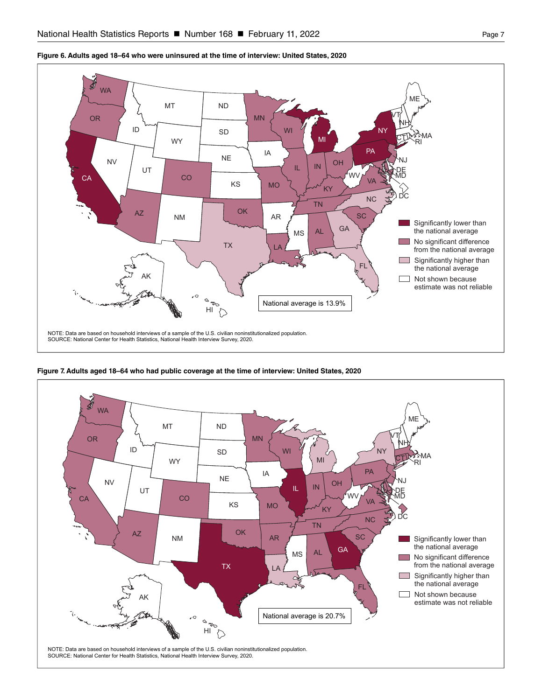

<span id="page-6-0"></span>**Figure 6. Adults aged 18–64 who were uninsured at the time of interview: United States, 2020** 



**Figure 7. Adults aged 18–64 who had public coverage at the time of interview: United States, 2020**

NOTE: Data are based on household interviews of a sample of the U.S. civilian noninstitutionalized population.<br>SOURCE: National Center for Health Statistics, National Health Interview Survey, 2020.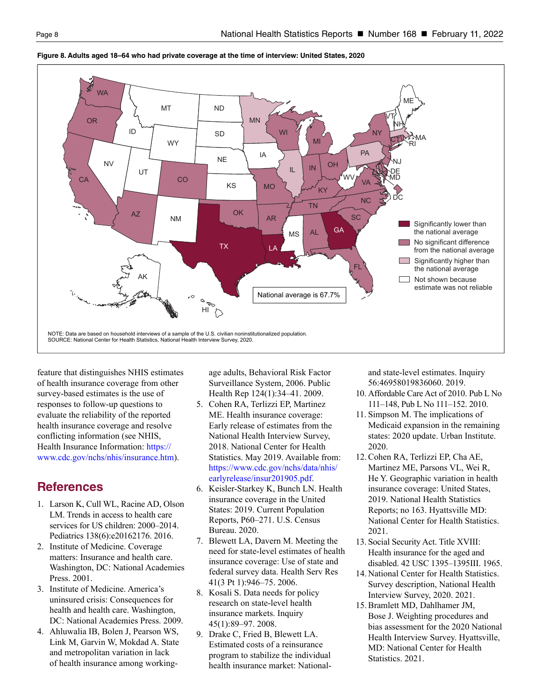

#### <span id="page-7-0"></span>**Figure 8. Adults aged 18–64 who had private coverage at the time of interview: United States, 2020**

feature that distinguishes NHIS estimates of health insurance coverage from other survey-based estimates is the use of responses to follow-up questions to evaluate the reliability of the reported health insurance coverage and resolve conflicting information (see NHIS, Health Insurance Information: [https://](https://www.cdc.gov/nchs/nhis/insurance.htm) [www.cdc.gov/nchs/nhis/insurance.htm\)](https://www.cdc.gov/nchs/nhis/insurance.htm).

## **References**

- 1. Larson K, Cull WL, Racine AD, Olson LM. Trends in access to health care services for US children: 2000–2014. Pediatrics 138(6):e20162176. 2016.
- 2. Institute of Medicine. Coverage matters: Insurance and health care. Washington, DC: National Academies Press. 2001.
- 3. Institute of Medicine. America's uninsured crisis: Consequences for health and health care. Washington, DC: National Academies Press. 2009.
- 4. Ahluwalia IB, Bolen J, Pearson WS, Link M, Garvin W, Mokdad A. State and metropolitan variation in lack of health insurance among working-

age adults, Behavioral Risk Factor Surveillance System, 2006. Public Health Rep 124(1):34–41. 2009.

- 5. Cohen RA, Terlizzi EP, Martinez ME. Health insurance coverage: Early release of estimates from the National Health Interview Survey, 2018. National Center for Health Statistics. May 2019. Available from: [https://www.cdc.gov/nchs/data/nhis/](https://www.cdc.gov/nchs/data/nhis/earlyrelease/insur201905.pdf) [earlyrelease/insur201905.pdf](https://www.cdc.gov/nchs/data/nhis/earlyrelease/insur201905.pdf).
- 6. Keisler-Starkey K, Bunch LN. Health insurance coverage in the United States: 2019. Current Population Reports, P60–271. U.S. Census Bureau. 2020.
- 7. Blewett LA, Davern M. Meeting the need for state-level estimates of health insurance coverage: Use of state and federal survey data. Health Serv Res 41(3 Pt 1):946–75. 2006.
- 8. Kosali S. Data needs for policy research on state-level health insurance markets. Inquiry 45(1):89–97. 2008.
- 9. Drake C, Fried B, Blewett LA. Estimated costs of a reinsurance program to stabilize the individual health insurance market: National-

and state-level estimates. Inquiry 56:46958019836060. 2019.

- 10. Affordable Care Act of 2010. Pub L No 111–148, Pub L No 111–152. 2010.
- 11. Simpson M. The implications of Medicaid expansion in the remaining states: 2020 update. Urban Institute. 2020.
- 12. Cohen RA, Terlizzi EP, Cha AE, Martinez ME, Parsons VL, Wei R, He Y. Geographic variation in health insurance coverage: United States, 2019. National Health Statistics Reports; no 163. Hyattsville MD: National Center for Health Statistics. 2021.
- 13. Social Security Act. Title XVIII: Health insurance for the aged and disabled. 42 USC 1395–1395III. 1965.
- 14. National Center for Health Statistics. Survey description, National Health Interview Survey, 2020. 2021.
- 15. Bramlett MD, Dahlhamer JM, Bose J. Weighting procedures and bias assessment for the 2020 National Health Interview Survey. Hyattsville, MD: National Center for Health Statistics. 2021.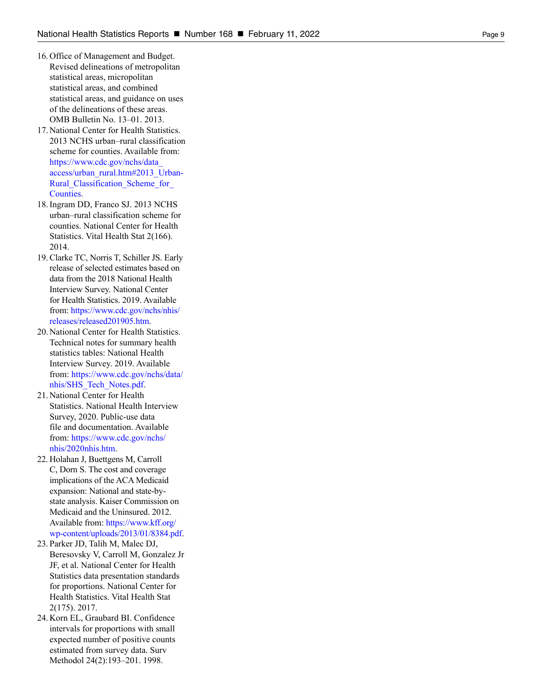- 16. Office of Management and Budget. Revised delineations of metropolitan statistical areas, micropolitan statistical areas, and combined statistical areas, and guidance on uses of the delineations of these areas. OMB Bulletin No. 13–01. 2013.
- 17. National Center for Health Statistics. 2013 NCHS urban–rural classification scheme for counties. Available from: [https://www.cdc.gov/nchs/data\\_](https://www.cdc.gov/nchs/data_access/urban_rural.htm#2013_Urban-Rural_Classification_Scheme_for_Counties) [access/urban\\_rural.htm#2013\\_Urban-](https://www.cdc.gov/nchs/data_access/urban_rural.htm#2013_Urban-Rural_Classification_Scheme_for_Counties)Rural Classification Scheme for [Counties](https://www.cdc.gov/nchs/data_access/urban_rural.htm#2013_Urban-Rural_Classification_Scheme_for_Counties) .
- 18. Ingram DD, Franco SJ. 2013 NCHS urban–rural classification scheme for counties. National Center for Health Statistics. Vital Health Stat 2(166). 2014.
- 19. Clarke TC, Norris T, Schiller JS. Early release of selected estimates based on data from the 2018 National Health Interview Survey. National Center for Health Statistics. 2019. Available from: [https://www.cdc.gov/nchs/nhis/](https://www.cdc.gov/nchs/nhis/releases/released201905.htm) [releases/released201905.htm](https://www.cdc.gov/nchs/nhis/releases/released201905.htm) .
- 20. National Center for Health Statistics. Technical notes for summary health statistics tables: National Health Interview Survey. 2019. Available from: [https://www.cdc.gov/nchs/data/](https://www.cdc.gov/nchs/data/nhis/SHS_Tech_Notes.pdf) [nhis/SHS\\_Tech\\_Notes.pdf](https://www.cdc.gov/nchs/data/nhis/SHS_Tech_Notes.pdf).
- 21. National Center for Health Statistics. National Health Interview Survey, 2020. Public-use data file and documentation. Available from: [https://www.cdc.gov/nchs/](https://www.cdc.gov/nchs/nhis/2020nhis.htm) [nhis/2020nhis.htm](https://www.cdc.gov/nchs/nhis/2020nhis.htm).
- 22. Holahan J, Buettgens M, Carroll C, Dorn S. The cost and coverage implications of the ACA Medicaid expansion: National and state-bystate analysis. Kaiser Commission on Medicaid and the Uninsured. 2012. Available from: [https://www.kff.org/](https://www.kff.org/wp-content/uploads/2013/01/8384.pdf) [wp-content/uploads/2013/01/8384.pdf.](https://www.kff.org/wp-content/uploads/2013/01/8384.pdf)
- 23. Parker JD, Talih M, Malec DJ, Beresovsky V, Carroll M, Gonzalez Jr JF, et al. National Center for Health Statistics data presentation standards for proportions. National Center for Health Statistics. Vital Health Stat 2(175). 2017.
- 24. Korn EL, Graubard BI. Confidence intervals for proportions with small expected number of positive counts estimated from survey data. Surv Methodol 24(2):193–201. 1998.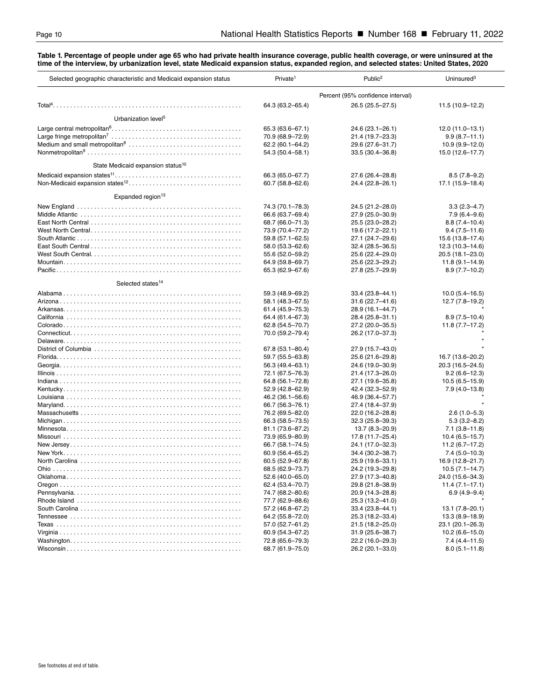<span id="page-9-0"></span>**Table 1. Percentage of people under age 65 who had private health insurance coverage, public health coverage, or were uninsured at the time of the interview, by urbanization level, state Medicaid expansion status, expanded region, and selected states: United States, 2020**

| Percent (95% confidence interval)<br>64.3 (63.2-65.4)<br>26.5 (25.5-27.5)<br>11.5 (10.9-12.2)<br>Urbanization level <sup>5</sup><br>65.3 (63.6-67.1)<br>24.6 (23.1-26.1)<br>$12.0(11.0-13.1)$<br>70.9 (68.9-72.9)<br>21.4 (19.7-23.3)<br>$9.9(8.7 - 11.1)$<br>62.2 (60.1-64.2)<br>29.6 (27.6-31.7)<br>$10.9(9.9 - 12.0)$<br>54.3 (50.4-58.1)<br>$33.5(30.4 - 36.8)$<br>15.0 (12.6-17.7)<br>State Medicaid expansion status <sup>10</sup><br>66.3 (65.0-67.7)<br>27.6 (26.4-28.8)<br>$8.5(7.8-9.2)$<br>60.7 (58.8-62.6)<br>24.4 (22.8-26.1)<br>17.1 (15.9-18.4)<br>Expanded region <sup>13</sup><br>74.3 (70.1-78.3)<br>24.5 (21.2-28.0)<br>$3.3(2.3 - 4.7)$<br>66.6 (63.7-69.4)<br>27.9 (25.0-30.9)<br>$7.9(6.4 - 9.6)$<br>68.7 (66.0-71.3)<br>25.5 (23.0-28.2)<br>$8.8(7.4 - 10.4)$<br>73.9 (70.4-77.2)<br>19.6 (17.2-22.1)<br>$9.4(7.5 - 11.6)$<br>27.1 (24.7-29.6)<br>15.6 (13.8-17.4)<br>59.8 (57.1-62.5)<br>$32.4(28.5 - 36.5)$<br>$12.3(10.3 - 14.6)$<br>58.0 (53.3-62.6)<br>55.6 (52.0-59.2)<br>25.6 (22.4-29.0)<br>$20.5(18.1 - 23.0)$<br>64.9 (59.8-69.7)<br>25.6 (22.3-29.2)<br>$11.8(9.1 - 14.9)$<br>65.3 (62.9-67.6)<br>27.8 (25.7-29.9)<br>$8.9(7.7-10.2)$<br>Selected states <sup>14</sup><br>$10.0(5.4 - 16.5)$<br>59.3 (48.9-69.2)<br>33.4 (23.8–44.1)<br>$12.7(7.8-19.2)$<br>$31.6(22.7 - 41.6)$<br>58.1 (48.3-67.5)<br>28.9 (16.1-44.7)<br>61.4 (45.9-75.3)<br>64.4 (61.4–67.3)<br>28.4 (25.8-31.1)<br>$8.9(7.5 - 10.4)$<br>62.8 (54.5-70.7)<br>27.2 (20.0-35.5)<br>$11.8(7.7-17.2)$<br>70.0 (59.2-79.4)<br>26.2 (17.0-37.3)<br>67.8 (53.1-80.4)<br>27.9 (15.7-43.0)<br>59.7 (55.5-63.8)<br>25.6 (21.6-29.8)<br>16.7 (13.6-20.2)<br>24.6 (19.0-30.9)<br>56.3 (49.4–63.1)<br>20.3 (16.5–24.5)<br>21.4 (17.3-26.0)<br>$9.2(6.6 - 12.3)$<br>72.1 (67.5–76.3)<br>$10.5(6.5 - 15.9)$<br>64.8 (56.1-72.8)<br>27.1 (19.6-35.8)<br>42.4 (32.3-52.9)<br>$7.9(4.0 - 13.8)$<br>52.9 (42.8–62.9)<br>46.2 (36.1–56.6)<br>46.9 (36.4–57.7)<br>66.7 (56.3-76.1)<br>27.4 (18.4-37.9)<br>76.2 (69.5-82.0)<br>22.0 (16.2-28.8)<br>$2.6(1.0-5.3)$<br>$32.3(25.8 - 39.3)$<br>$5.3(3.2 - 8.2)$<br>66.3 (58.5-73.5)<br>$7.1(3.8 - 11.8)$<br>81.1 (73.6–87.2)<br>13.7 (8.3–20.9)<br>73.9 (65.9-80.9)<br>17.8 (11.7-25.4)<br>$10.4(6.5 - 15.7)$<br>24.1 (17.0-32.3)<br>$11.2(6.7-17.2)$<br>66.7 (58.1–74.5)<br>34.4 (30.2-38.7)<br>$7.4(5.0 - 10.3)$<br>60.9 (56.4-65.2)<br>60.5 (52.9-67.8)<br>25.9 (19.6-33.1)<br>16.9 (12.8-21.7)<br>68.5 (62.9-73.7)<br>24.2 (19.3-29.8)<br>$10.5(7.1 - 14.7)$<br>24.0 (15.6-34.3)<br>52.6 (40.0–65.0)<br>27.9 (17.3–40.8)<br>62.4 (53.4-70.7)<br>29.8 (21.8-38.9)<br>$11.4(7.1 - 17.1)$<br>$6.9(4.9 - 9.4)$<br>74.7 (68.2–80.6)<br>20.9 (14.3–28.8)<br>77.7 (62.9–88.6)<br>25.3 (13.2-41.0)<br>57.2 (46.8–67.2)<br>33.4 (23.8–44.1)<br>$13.1(7.8 - 20.1)$<br>64.2 (55.8–72.0)<br>25.3 (18.2-33.4)<br>$13.3(8.9-18.9)$<br>57.0 (52.7–61.2)<br>21.5 (18.2-25.0)<br>23.1 (20.1-26.3)<br>60.9 (54.3–67.2)<br>31.9 (25.6-38.7)<br>$10.2(6.6 - 15.0)$<br>$7.4(4.4-11.5)$<br>72.8 (65.6–79.3)<br>22.2 (16.0-29.3)<br>$8.0(5.1 - 11.8)$<br>68.7 (61.9-75.0)<br>26.2 (20.1-33.0) | Selected geographic characteristic and Medicaid expansion status | Private <sup>1</sup> | Public <sup>2</sup> | Uninsured <sup>3</sup> |
|--------------------------------------------------------------------------------------------------------------------------------------------------------------------------------------------------------------------------------------------------------------------------------------------------------------------------------------------------------------------------------------------------------------------------------------------------------------------------------------------------------------------------------------------------------------------------------------------------------------------------------------------------------------------------------------------------------------------------------------------------------------------------------------------------------------------------------------------------------------------------------------------------------------------------------------------------------------------------------------------------------------------------------------------------------------------------------------------------------------------------------------------------------------------------------------------------------------------------------------------------------------------------------------------------------------------------------------------------------------------------------------------------------------------------------------------------------------------------------------------------------------------------------------------------------------------------------------------------------------------------------------------------------------------------------------------------------------------------------------------------------------------------------------------------------------------------------------------------------------------------------------------------------------------------------------------------------------------------------------------------------------------------------------------------------------------------------------------------------------------------------------------------------------------------------------------------------------------------------------------------------------------------------------------------------------------------------------------------------------------------------------------------------------------------------------------------------------------------------------------------------------------------------------------------------------------------------------------------------------------------------------------------------------------------------------------------------------------------------------------------------------------------------------------------------------------------------------------------------------------------------------------------------------------------------------------------------------------------------------------------------------------------------------------------------------------------------------------------------|------------------------------------------------------------------|----------------------|---------------------|------------------------|
|                                                                                                                                                                                                                                                                                                                                                                                                                                                                                                                                                                                                                                                                                                                                                                                                                                                                                                                                                                                                                                                                                                                                                                                                                                                                                                                                                                                                                                                                                                                                                                                                                                                                                                                                                                                                                                                                                                                                                                                                                                                                                                                                                                                                                                                                                                                                                                                                                                                                                                                                                                                                                                                                                                                                                                                                                                                                                                                                                                                                                                                                                                        |                                                                  |                      |                     |                        |
|                                                                                                                                                                                                                                                                                                                                                                                                                                                                                                                                                                                                                                                                                                                                                                                                                                                                                                                                                                                                                                                                                                                                                                                                                                                                                                                                                                                                                                                                                                                                                                                                                                                                                                                                                                                                                                                                                                                                                                                                                                                                                                                                                                                                                                                                                                                                                                                                                                                                                                                                                                                                                                                                                                                                                                                                                                                                                                                                                                                                                                                                                                        |                                                                  |                      |                     |                        |
|                                                                                                                                                                                                                                                                                                                                                                                                                                                                                                                                                                                                                                                                                                                                                                                                                                                                                                                                                                                                                                                                                                                                                                                                                                                                                                                                                                                                                                                                                                                                                                                                                                                                                                                                                                                                                                                                                                                                                                                                                                                                                                                                                                                                                                                                                                                                                                                                                                                                                                                                                                                                                                                                                                                                                                                                                                                                                                                                                                                                                                                                                                        |                                                                  |                      |                     |                        |
|                                                                                                                                                                                                                                                                                                                                                                                                                                                                                                                                                                                                                                                                                                                                                                                                                                                                                                                                                                                                                                                                                                                                                                                                                                                                                                                                                                                                                                                                                                                                                                                                                                                                                                                                                                                                                                                                                                                                                                                                                                                                                                                                                                                                                                                                                                                                                                                                                                                                                                                                                                                                                                                                                                                                                                                                                                                                                                                                                                                                                                                                                                        |                                                                  |                      |                     |                        |
|                                                                                                                                                                                                                                                                                                                                                                                                                                                                                                                                                                                                                                                                                                                                                                                                                                                                                                                                                                                                                                                                                                                                                                                                                                                                                                                                                                                                                                                                                                                                                                                                                                                                                                                                                                                                                                                                                                                                                                                                                                                                                                                                                                                                                                                                                                                                                                                                                                                                                                                                                                                                                                                                                                                                                                                                                                                                                                                                                                                                                                                                                                        |                                                                  |                      |                     |                        |
|                                                                                                                                                                                                                                                                                                                                                                                                                                                                                                                                                                                                                                                                                                                                                                                                                                                                                                                                                                                                                                                                                                                                                                                                                                                                                                                                                                                                                                                                                                                                                                                                                                                                                                                                                                                                                                                                                                                                                                                                                                                                                                                                                                                                                                                                                                                                                                                                                                                                                                                                                                                                                                                                                                                                                                                                                                                                                                                                                                                                                                                                                                        |                                                                  |                      |                     |                        |
|                                                                                                                                                                                                                                                                                                                                                                                                                                                                                                                                                                                                                                                                                                                                                                                                                                                                                                                                                                                                                                                                                                                                                                                                                                                                                                                                                                                                                                                                                                                                                                                                                                                                                                                                                                                                                                                                                                                                                                                                                                                                                                                                                                                                                                                                                                                                                                                                                                                                                                                                                                                                                                                                                                                                                                                                                                                                                                                                                                                                                                                                                                        |                                                                  |                      |                     |                        |
|                                                                                                                                                                                                                                                                                                                                                                                                                                                                                                                                                                                                                                                                                                                                                                                                                                                                                                                                                                                                                                                                                                                                                                                                                                                                                                                                                                                                                                                                                                                                                                                                                                                                                                                                                                                                                                                                                                                                                                                                                                                                                                                                                                                                                                                                                                                                                                                                                                                                                                                                                                                                                                                                                                                                                                                                                                                                                                                                                                                                                                                                                                        |                                                                  |                      |                     |                        |
|                                                                                                                                                                                                                                                                                                                                                                                                                                                                                                                                                                                                                                                                                                                                                                                                                                                                                                                                                                                                                                                                                                                                                                                                                                                                                                                                                                                                                                                                                                                                                                                                                                                                                                                                                                                                                                                                                                                                                                                                                                                                                                                                                                                                                                                                                                                                                                                                                                                                                                                                                                                                                                                                                                                                                                                                                                                                                                                                                                                                                                                                                                        |                                                                  |                      |                     |                        |
|                                                                                                                                                                                                                                                                                                                                                                                                                                                                                                                                                                                                                                                                                                                                                                                                                                                                                                                                                                                                                                                                                                                                                                                                                                                                                                                                                                                                                                                                                                                                                                                                                                                                                                                                                                                                                                                                                                                                                                                                                                                                                                                                                                                                                                                                                                                                                                                                                                                                                                                                                                                                                                                                                                                                                                                                                                                                                                                                                                                                                                                                                                        |                                                                  |                      |                     |                        |
|                                                                                                                                                                                                                                                                                                                                                                                                                                                                                                                                                                                                                                                                                                                                                                                                                                                                                                                                                                                                                                                                                                                                                                                                                                                                                                                                                                                                                                                                                                                                                                                                                                                                                                                                                                                                                                                                                                                                                                                                                                                                                                                                                                                                                                                                                                                                                                                                                                                                                                                                                                                                                                                                                                                                                                                                                                                                                                                                                                                                                                                                                                        |                                                                  |                      |                     |                        |
|                                                                                                                                                                                                                                                                                                                                                                                                                                                                                                                                                                                                                                                                                                                                                                                                                                                                                                                                                                                                                                                                                                                                                                                                                                                                                                                                                                                                                                                                                                                                                                                                                                                                                                                                                                                                                                                                                                                                                                                                                                                                                                                                                                                                                                                                                                                                                                                                                                                                                                                                                                                                                                                                                                                                                                                                                                                                                                                                                                                                                                                                                                        |                                                                  |                      |                     |                        |
|                                                                                                                                                                                                                                                                                                                                                                                                                                                                                                                                                                                                                                                                                                                                                                                                                                                                                                                                                                                                                                                                                                                                                                                                                                                                                                                                                                                                                                                                                                                                                                                                                                                                                                                                                                                                                                                                                                                                                                                                                                                                                                                                                                                                                                                                                                                                                                                                                                                                                                                                                                                                                                                                                                                                                                                                                                                                                                                                                                                                                                                                                                        |                                                                  |                      |                     |                        |
|                                                                                                                                                                                                                                                                                                                                                                                                                                                                                                                                                                                                                                                                                                                                                                                                                                                                                                                                                                                                                                                                                                                                                                                                                                                                                                                                                                                                                                                                                                                                                                                                                                                                                                                                                                                                                                                                                                                                                                                                                                                                                                                                                                                                                                                                                                                                                                                                                                                                                                                                                                                                                                                                                                                                                                                                                                                                                                                                                                                                                                                                                                        |                                                                  |                      |                     |                        |
|                                                                                                                                                                                                                                                                                                                                                                                                                                                                                                                                                                                                                                                                                                                                                                                                                                                                                                                                                                                                                                                                                                                                                                                                                                                                                                                                                                                                                                                                                                                                                                                                                                                                                                                                                                                                                                                                                                                                                                                                                                                                                                                                                                                                                                                                                                                                                                                                                                                                                                                                                                                                                                                                                                                                                                                                                                                                                                                                                                                                                                                                                                        |                                                                  |                      |                     |                        |
|                                                                                                                                                                                                                                                                                                                                                                                                                                                                                                                                                                                                                                                                                                                                                                                                                                                                                                                                                                                                                                                                                                                                                                                                                                                                                                                                                                                                                                                                                                                                                                                                                                                                                                                                                                                                                                                                                                                                                                                                                                                                                                                                                                                                                                                                                                                                                                                                                                                                                                                                                                                                                                                                                                                                                                                                                                                                                                                                                                                                                                                                                                        |                                                                  |                      |                     |                        |
|                                                                                                                                                                                                                                                                                                                                                                                                                                                                                                                                                                                                                                                                                                                                                                                                                                                                                                                                                                                                                                                                                                                                                                                                                                                                                                                                                                                                                                                                                                                                                                                                                                                                                                                                                                                                                                                                                                                                                                                                                                                                                                                                                                                                                                                                                                                                                                                                                                                                                                                                                                                                                                                                                                                                                                                                                                                                                                                                                                                                                                                                                                        |                                                                  |                      |                     |                        |
|                                                                                                                                                                                                                                                                                                                                                                                                                                                                                                                                                                                                                                                                                                                                                                                                                                                                                                                                                                                                                                                                                                                                                                                                                                                                                                                                                                                                                                                                                                                                                                                                                                                                                                                                                                                                                                                                                                                                                                                                                                                                                                                                                                                                                                                                                                                                                                                                                                                                                                                                                                                                                                                                                                                                                                                                                                                                                                                                                                                                                                                                                                        |                                                                  |                      |                     |                        |
|                                                                                                                                                                                                                                                                                                                                                                                                                                                                                                                                                                                                                                                                                                                                                                                                                                                                                                                                                                                                                                                                                                                                                                                                                                                                                                                                                                                                                                                                                                                                                                                                                                                                                                                                                                                                                                                                                                                                                                                                                                                                                                                                                                                                                                                                                                                                                                                                                                                                                                                                                                                                                                                                                                                                                                                                                                                                                                                                                                                                                                                                                                        |                                                                  |                      |                     |                        |
|                                                                                                                                                                                                                                                                                                                                                                                                                                                                                                                                                                                                                                                                                                                                                                                                                                                                                                                                                                                                                                                                                                                                                                                                                                                                                                                                                                                                                                                                                                                                                                                                                                                                                                                                                                                                                                                                                                                                                                                                                                                                                                                                                                                                                                                                                                                                                                                                                                                                                                                                                                                                                                                                                                                                                                                                                                                                                                                                                                                                                                                                                                        |                                                                  |                      |                     |                        |
|                                                                                                                                                                                                                                                                                                                                                                                                                                                                                                                                                                                                                                                                                                                                                                                                                                                                                                                                                                                                                                                                                                                                                                                                                                                                                                                                                                                                                                                                                                                                                                                                                                                                                                                                                                                                                                                                                                                                                                                                                                                                                                                                                                                                                                                                                                                                                                                                                                                                                                                                                                                                                                                                                                                                                                                                                                                                                                                                                                                                                                                                                                        |                                                                  |                      |                     |                        |
|                                                                                                                                                                                                                                                                                                                                                                                                                                                                                                                                                                                                                                                                                                                                                                                                                                                                                                                                                                                                                                                                                                                                                                                                                                                                                                                                                                                                                                                                                                                                                                                                                                                                                                                                                                                                                                                                                                                                                                                                                                                                                                                                                                                                                                                                                                                                                                                                                                                                                                                                                                                                                                                                                                                                                                                                                                                                                                                                                                                                                                                                                                        |                                                                  |                      |                     |                        |
|                                                                                                                                                                                                                                                                                                                                                                                                                                                                                                                                                                                                                                                                                                                                                                                                                                                                                                                                                                                                                                                                                                                                                                                                                                                                                                                                                                                                                                                                                                                                                                                                                                                                                                                                                                                                                                                                                                                                                                                                                                                                                                                                                                                                                                                                                                                                                                                                                                                                                                                                                                                                                                                                                                                                                                                                                                                                                                                                                                                                                                                                                                        |                                                                  |                      |                     |                        |
|                                                                                                                                                                                                                                                                                                                                                                                                                                                                                                                                                                                                                                                                                                                                                                                                                                                                                                                                                                                                                                                                                                                                                                                                                                                                                                                                                                                                                                                                                                                                                                                                                                                                                                                                                                                                                                                                                                                                                                                                                                                                                                                                                                                                                                                                                                                                                                                                                                                                                                                                                                                                                                                                                                                                                                                                                                                                                                                                                                                                                                                                                                        |                                                                  |                      |                     |                        |
|                                                                                                                                                                                                                                                                                                                                                                                                                                                                                                                                                                                                                                                                                                                                                                                                                                                                                                                                                                                                                                                                                                                                                                                                                                                                                                                                                                                                                                                                                                                                                                                                                                                                                                                                                                                                                                                                                                                                                                                                                                                                                                                                                                                                                                                                                                                                                                                                                                                                                                                                                                                                                                                                                                                                                                                                                                                                                                                                                                                                                                                                                                        |                                                                  |                      |                     |                        |
|                                                                                                                                                                                                                                                                                                                                                                                                                                                                                                                                                                                                                                                                                                                                                                                                                                                                                                                                                                                                                                                                                                                                                                                                                                                                                                                                                                                                                                                                                                                                                                                                                                                                                                                                                                                                                                                                                                                                                                                                                                                                                                                                                                                                                                                                                                                                                                                                                                                                                                                                                                                                                                                                                                                                                                                                                                                                                                                                                                                                                                                                                                        |                                                                  |                      |                     |                        |
|                                                                                                                                                                                                                                                                                                                                                                                                                                                                                                                                                                                                                                                                                                                                                                                                                                                                                                                                                                                                                                                                                                                                                                                                                                                                                                                                                                                                                                                                                                                                                                                                                                                                                                                                                                                                                                                                                                                                                                                                                                                                                                                                                                                                                                                                                                                                                                                                                                                                                                                                                                                                                                                                                                                                                                                                                                                                                                                                                                                                                                                                                                        |                                                                  |                      |                     |                        |
|                                                                                                                                                                                                                                                                                                                                                                                                                                                                                                                                                                                                                                                                                                                                                                                                                                                                                                                                                                                                                                                                                                                                                                                                                                                                                                                                                                                                                                                                                                                                                                                                                                                                                                                                                                                                                                                                                                                                                                                                                                                                                                                                                                                                                                                                                                                                                                                                                                                                                                                                                                                                                                                                                                                                                                                                                                                                                                                                                                                                                                                                                                        |                                                                  |                      |                     |                        |
|                                                                                                                                                                                                                                                                                                                                                                                                                                                                                                                                                                                                                                                                                                                                                                                                                                                                                                                                                                                                                                                                                                                                                                                                                                                                                                                                                                                                                                                                                                                                                                                                                                                                                                                                                                                                                                                                                                                                                                                                                                                                                                                                                                                                                                                                                                                                                                                                                                                                                                                                                                                                                                                                                                                                                                                                                                                                                                                                                                                                                                                                                                        |                                                                  |                      |                     |                        |
|                                                                                                                                                                                                                                                                                                                                                                                                                                                                                                                                                                                                                                                                                                                                                                                                                                                                                                                                                                                                                                                                                                                                                                                                                                                                                                                                                                                                                                                                                                                                                                                                                                                                                                                                                                                                                                                                                                                                                                                                                                                                                                                                                                                                                                                                                                                                                                                                                                                                                                                                                                                                                                                                                                                                                                                                                                                                                                                                                                                                                                                                                                        |                                                                  |                      |                     |                        |
|                                                                                                                                                                                                                                                                                                                                                                                                                                                                                                                                                                                                                                                                                                                                                                                                                                                                                                                                                                                                                                                                                                                                                                                                                                                                                                                                                                                                                                                                                                                                                                                                                                                                                                                                                                                                                                                                                                                                                                                                                                                                                                                                                                                                                                                                                                                                                                                                                                                                                                                                                                                                                                                                                                                                                                                                                                                                                                                                                                                                                                                                                                        |                                                                  |                      |                     |                        |
|                                                                                                                                                                                                                                                                                                                                                                                                                                                                                                                                                                                                                                                                                                                                                                                                                                                                                                                                                                                                                                                                                                                                                                                                                                                                                                                                                                                                                                                                                                                                                                                                                                                                                                                                                                                                                                                                                                                                                                                                                                                                                                                                                                                                                                                                                                                                                                                                                                                                                                                                                                                                                                                                                                                                                                                                                                                                                                                                                                                                                                                                                                        |                                                                  |                      |                     |                        |
|                                                                                                                                                                                                                                                                                                                                                                                                                                                                                                                                                                                                                                                                                                                                                                                                                                                                                                                                                                                                                                                                                                                                                                                                                                                                                                                                                                                                                                                                                                                                                                                                                                                                                                                                                                                                                                                                                                                                                                                                                                                                                                                                                                                                                                                                                                                                                                                                                                                                                                                                                                                                                                                                                                                                                                                                                                                                                                                                                                                                                                                                                                        |                                                                  |                      |                     |                        |
|                                                                                                                                                                                                                                                                                                                                                                                                                                                                                                                                                                                                                                                                                                                                                                                                                                                                                                                                                                                                                                                                                                                                                                                                                                                                                                                                                                                                                                                                                                                                                                                                                                                                                                                                                                                                                                                                                                                                                                                                                                                                                                                                                                                                                                                                                                                                                                                                                                                                                                                                                                                                                                                                                                                                                                                                                                                                                                                                                                                                                                                                                                        |                                                                  |                      |                     |                        |
|                                                                                                                                                                                                                                                                                                                                                                                                                                                                                                                                                                                                                                                                                                                                                                                                                                                                                                                                                                                                                                                                                                                                                                                                                                                                                                                                                                                                                                                                                                                                                                                                                                                                                                                                                                                                                                                                                                                                                                                                                                                                                                                                                                                                                                                                                                                                                                                                                                                                                                                                                                                                                                                                                                                                                                                                                                                                                                                                                                                                                                                                                                        |                                                                  |                      |                     |                        |
|                                                                                                                                                                                                                                                                                                                                                                                                                                                                                                                                                                                                                                                                                                                                                                                                                                                                                                                                                                                                                                                                                                                                                                                                                                                                                                                                                                                                                                                                                                                                                                                                                                                                                                                                                                                                                                                                                                                                                                                                                                                                                                                                                                                                                                                                                                                                                                                                                                                                                                                                                                                                                                                                                                                                                                                                                                                                                                                                                                                                                                                                                                        |                                                                  |                      |                     |                        |
|                                                                                                                                                                                                                                                                                                                                                                                                                                                                                                                                                                                                                                                                                                                                                                                                                                                                                                                                                                                                                                                                                                                                                                                                                                                                                                                                                                                                                                                                                                                                                                                                                                                                                                                                                                                                                                                                                                                                                                                                                                                                                                                                                                                                                                                                                                                                                                                                                                                                                                                                                                                                                                                                                                                                                                                                                                                                                                                                                                                                                                                                                                        |                                                                  |                      |                     |                        |
|                                                                                                                                                                                                                                                                                                                                                                                                                                                                                                                                                                                                                                                                                                                                                                                                                                                                                                                                                                                                                                                                                                                                                                                                                                                                                                                                                                                                                                                                                                                                                                                                                                                                                                                                                                                                                                                                                                                                                                                                                                                                                                                                                                                                                                                                                                                                                                                                                                                                                                                                                                                                                                                                                                                                                                                                                                                                                                                                                                                                                                                                                                        |                                                                  |                      |                     |                        |
|                                                                                                                                                                                                                                                                                                                                                                                                                                                                                                                                                                                                                                                                                                                                                                                                                                                                                                                                                                                                                                                                                                                                                                                                                                                                                                                                                                                                                                                                                                                                                                                                                                                                                                                                                                                                                                                                                                                                                                                                                                                                                                                                                                                                                                                                                                                                                                                                                                                                                                                                                                                                                                                                                                                                                                                                                                                                                                                                                                                                                                                                                                        |                                                                  |                      |                     |                        |
|                                                                                                                                                                                                                                                                                                                                                                                                                                                                                                                                                                                                                                                                                                                                                                                                                                                                                                                                                                                                                                                                                                                                                                                                                                                                                                                                                                                                                                                                                                                                                                                                                                                                                                                                                                                                                                                                                                                                                                                                                                                                                                                                                                                                                                                                                                                                                                                                                                                                                                                                                                                                                                                                                                                                                                                                                                                                                                                                                                                                                                                                                                        |                                                                  |                      |                     |                        |
|                                                                                                                                                                                                                                                                                                                                                                                                                                                                                                                                                                                                                                                                                                                                                                                                                                                                                                                                                                                                                                                                                                                                                                                                                                                                                                                                                                                                                                                                                                                                                                                                                                                                                                                                                                                                                                                                                                                                                                                                                                                                                                                                                                                                                                                                                                                                                                                                                                                                                                                                                                                                                                                                                                                                                                                                                                                                                                                                                                                                                                                                                                        |                                                                  |                      |                     |                        |
|                                                                                                                                                                                                                                                                                                                                                                                                                                                                                                                                                                                                                                                                                                                                                                                                                                                                                                                                                                                                                                                                                                                                                                                                                                                                                                                                                                                                                                                                                                                                                                                                                                                                                                                                                                                                                                                                                                                                                                                                                                                                                                                                                                                                                                                                                                                                                                                                                                                                                                                                                                                                                                                                                                                                                                                                                                                                                                                                                                                                                                                                                                        |                                                                  |                      |                     |                        |
|                                                                                                                                                                                                                                                                                                                                                                                                                                                                                                                                                                                                                                                                                                                                                                                                                                                                                                                                                                                                                                                                                                                                                                                                                                                                                                                                                                                                                                                                                                                                                                                                                                                                                                                                                                                                                                                                                                                                                                                                                                                                                                                                                                                                                                                                                                                                                                                                                                                                                                                                                                                                                                                                                                                                                                                                                                                                                                                                                                                                                                                                                                        |                                                                  |                      |                     |                        |
|                                                                                                                                                                                                                                                                                                                                                                                                                                                                                                                                                                                                                                                                                                                                                                                                                                                                                                                                                                                                                                                                                                                                                                                                                                                                                                                                                                                                                                                                                                                                                                                                                                                                                                                                                                                                                                                                                                                                                                                                                                                                                                                                                                                                                                                                                                                                                                                                                                                                                                                                                                                                                                                                                                                                                                                                                                                                                                                                                                                                                                                                                                        |                                                                  |                      |                     |                        |
|                                                                                                                                                                                                                                                                                                                                                                                                                                                                                                                                                                                                                                                                                                                                                                                                                                                                                                                                                                                                                                                                                                                                                                                                                                                                                                                                                                                                                                                                                                                                                                                                                                                                                                                                                                                                                                                                                                                                                                                                                                                                                                                                                                                                                                                                                                                                                                                                                                                                                                                                                                                                                                                                                                                                                                                                                                                                                                                                                                                                                                                                                                        |                                                                  |                      |                     |                        |
|                                                                                                                                                                                                                                                                                                                                                                                                                                                                                                                                                                                                                                                                                                                                                                                                                                                                                                                                                                                                                                                                                                                                                                                                                                                                                                                                                                                                                                                                                                                                                                                                                                                                                                                                                                                                                                                                                                                                                                                                                                                                                                                                                                                                                                                                                                                                                                                                                                                                                                                                                                                                                                                                                                                                                                                                                                                                                                                                                                                                                                                                                                        |                                                                  |                      |                     |                        |
|                                                                                                                                                                                                                                                                                                                                                                                                                                                                                                                                                                                                                                                                                                                                                                                                                                                                                                                                                                                                                                                                                                                                                                                                                                                                                                                                                                                                                                                                                                                                                                                                                                                                                                                                                                                                                                                                                                                                                                                                                                                                                                                                                                                                                                                                                                                                                                                                                                                                                                                                                                                                                                                                                                                                                                                                                                                                                                                                                                                                                                                                                                        |                                                                  |                      |                     |                        |
|                                                                                                                                                                                                                                                                                                                                                                                                                                                                                                                                                                                                                                                                                                                                                                                                                                                                                                                                                                                                                                                                                                                                                                                                                                                                                                                                                                                                                                                                                                                                                                                                                                                                                                                                                                                                                                                                                                                                                                                                                                                                                                                                                                                                                                                                                                                                                                                                                                                                                                                                                                                                                                                                                                                                                                                                                                                                                                                                                                                                                                                                                                        |                                                                  |                      |                     |                        |
|                                                                                                                                                                                                                                                                                                                                                                                                                                                                                                                                                                                                                                                                                                                                                                                                                                                                                                                                                                                                                                                                                                                                                                                                                                                                                                                                                                                                                                                                                                                                                                                                                                                                                                                                                                                                                                                                                                                                                                                                                                                                                                                                                                                                                                                                                                                                                                                                                                                                                                                                                                                                                                                                                                                                                                                                                                                                                                                                                                                                                                                                                                        |                                                                  |                      |                     |                        |
|                                                                                                                                                                                                                                                                                                                                                                                                                                                                                                                                                                                                                                                                                                                                                                                                                                                                                                                                                                                                                                                                                                                                                                                                                                                                                                                                                                                                                                                                                                                                                                                                                                                                                                                                                                                                                                                                                                                                                                                                                                                                                                                                                                                                                                                                                                                                                                                                                                                                                                                                                                                                                                                                                                                                                                                                                                                                                                                                                                                                                                                                                                        |                                                                  |                      |                     |                        |
|                                                                                                                                                                                                                                                                                                                                                                                                                                                                                                                                                                                                                                                                                                                                                                                                                                                                                                                                                                                                                                                                                                                                                                                                                                                                                                                                                                                                                                                                                                                                                                                                                                                                                                                                                                                                                                                                                                                                                                                                                                                                                                                                                                                                                                                                                                                                                                                                                                                                                                                                                                                                                                                                                                                                                                                                                                                                                                                                                                                                                                                                                                        |                                                                  |                      |                     |                        |
|                                                                                                                                                                                                                                                                                                                                                                                                                                                                                                                                                                                                                                                                                                                                                                                                                                                                                                                                                                                                                                                                                                                                                                                                                                                                                                                                                                                                                                                                                                                                                                                                                                                                                                                                                                                                                                                                                                                                                                                                                                                                                                                                                                                                                                                                                                                                                                                                                                                                                                                                                                                                                                                                                                                                                                                                                                                                                                                                                                                                                                                                                                        |                                                                  |                      |                     |                        |
|                                                                                                                                                                                                                                                                                                                                                                                                                                                                                                                                                                                                                                                                                                                                                                                                                                                                                                                                                                                                                                                                                                                                                                                                                                                                                                                                                                                                                                                                                                                                                                                                                                                                                                                                                                                                                                                                                                                                                                                                                                                                                                                                                                                                                                                                                                                                                                                                                                                                                                                                                                                                                                                                                                                                                                                                                                                                                                                                                                                                                                                                                                        |                                                                  |                      |                     |                        |
|                                                                                                                                                                                                                                                                                                                                                                                                                                                                                                                                                                                                                                                                                                                                                                                                                                                                                                                                                                                                                                                                                                                                                                                                                                                                                                                                                                                                                                                                                                                                                                                                                                                                                                                                                                                                                                                                                                                                                                                                                                                                                                                                                                                                                                                                                                                                                                                                                                                                                                                                                                                                                                                                                                                                                                                                                                                                                                                                                                                                                                                                                                        |                                                                  |                      |                     |                        |
|                                                                                                                                                                                                                                                                                                                                                                                                                                                                                                                                                                                                                                                                                                                                                                                                                                                                                                                                                                                                                                                                                                                                                                                                                                                                                                                                                                                                                                                                                                                                                                                                                                                                                                                                                                                                                                                                                                                                                                                                                                                                                                                                                                                                                                                                                                                                                                                                                                                                                                                                                                                                                                                                                                                                                                                                                                                                                                                                                                                                                                                                                                        |                                                                  |                      |                     |                        |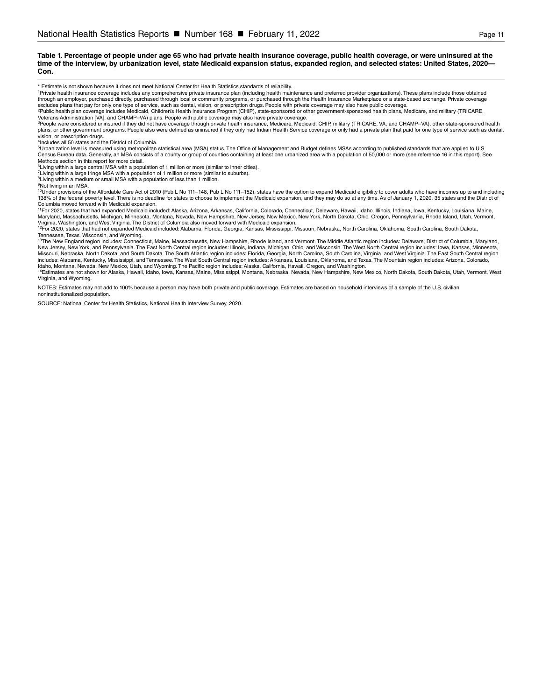#### **Table 1. Percentage of people under age 65 who had private health insurance coverage, public health coverage, or were uninsured at the time of the interview, by urbanization level, state Medicaid expansion status, expanded region, and selected states: United States, 2020— Con.**

\* Estimate is not shown because it does not meet National Center for Health Statistics standards of reliability.

1Private health insurance coverage includes any comprehensive private insurance plan (including health maintenance and preferred provider organizations). These plans include those obtained through an employer, purchased directly, purchased through local or community programs, or purchased through the Health Insurance Marketplace or a state-based exchange. Private coverage excludes plans that pay for only one type of service, such as dental, vision, or prescription drugs. People with private coverage may also have public coverage.<br><sup>2</sup>Public health plan coverage includes Medicaid, Children's

Veterans Administration [VA], and CHAMP–VA) plans. People with public coverage may also have private coverage.

3People were considered uninsured if they did not have coverage through private health insurance, Medicare, Medicaid, CHIP, military (TRICARE, VA, and CHAMP–VA), other state-sponsored health plans, or other government programs. People also were defined as uninsured if they only had Indian Health Service coverage or only had a private plan that paid for one type of service such as dental, vision, or prescription drugs.

4Includes all 50 states and the District of Columbia.

<sup>5</sup>Urbanization level is measured using metropolitan statistical area (MSA) status. The Office of Management and Budget defines MSAs according to published standards that are applied to U.S.<br>Census Bureau data. Generally, Methods section in this report for more detail.

<sup>6</sup>Living within a large central MSA with a population of 1 million or more (similar to inner cities).

<sup>7</sup>Living within a large fringe MSA with a population of 1 million or more (similar to suburbs). <sup>8</sup>Living within a medium or small MSA with a population of less than 1 million.

<sup>9</sup>Not living in an MSA.

<sup>10</sup>Under provisions of the Affordable Care Act of 2010 (Pub L No 111–148, Pub L No 111–152), states have the option to expand Medicaid eligibility to cover adults who have incomes up to and including 138% of the federal poverty level. There is no deadline for states to choose to implement the Medicaid expansion, and they may do so at any time. As of January 1, 2020, 35 states and the District of Columbia moved forward with Medicaid expansion.

11For 2020, states that had expanded Medicaid included: Alaska, Arizona, Arkansas, California, Colorado, Connecticut, Delaware, Hawaii, Idaho, Illinois, Indiana, Iowa, Kentucky, Louisiana, Maine, Maryland, Massachusetts, Michigan, Minnesota, Montana, Nevada, New Hampshire, New Jersey, New Mexico, New York, North Dakota, Ohio, Oregon, Pennsylvania, Rhode Island, Utah, Vermont, Virginia, Washington, and West Virginia. The District of Columbia also moved forward with Medicaid expansion.

12For 2020, states that had not expanded Medicaid included: Alabama, Florida, Georgia, Kansas, Mississippi, Missouri, Nebraska, North Carolina, Oklahoma, South Carolina, South Dakota,

Tennessee, Texas, Wisconsin, and Wyoming.<br><sup>13</sup>The New England region includes: Connecticut, Maine, Massachusetts, New Hampshire, Rhode Island, and Vermont. The Middle Atlantic region includes: Delaware, District of Columbi New Jersey, New York, and Pennsylvania. The East North Central region includes: Illinois, Indiana, Michigan, Ohio, and Wisconsin. The West North Central region includes: Iowa, Kansas, Minnesota, Missouri, Nebraska, North Dakota, and South Dakota. The South Atlantic region includes: Florida, Georgia, North Carolina, South Carolina, Virginia, and West Virginia. The East South Central region includes: Alabama, Kentucky, Mississippi, and Tennessee. The West South Central region includes: Arkansas, Louisiana, Oklahoma, and Texas. The Mountain region includes: Arizona, Colorado,<br>Idaho, Montana, Nevada, New Mexico

14Estimates are not shown for Alaska, Hawaii, Idaho, Iowa, Kansas, Maine, Mississippi, Montana, Nebraska, Nevada, New Hampshire, New Mexico, North Dakota, South Dakota, Utah, Vermont, West Virginia, and Wyoming.

NOTES: Estimates may not add to 100% because a person may have both private and public coverage. Estimates are based on household interviews of a sample of the U.S. civilian noninstitutionalized population.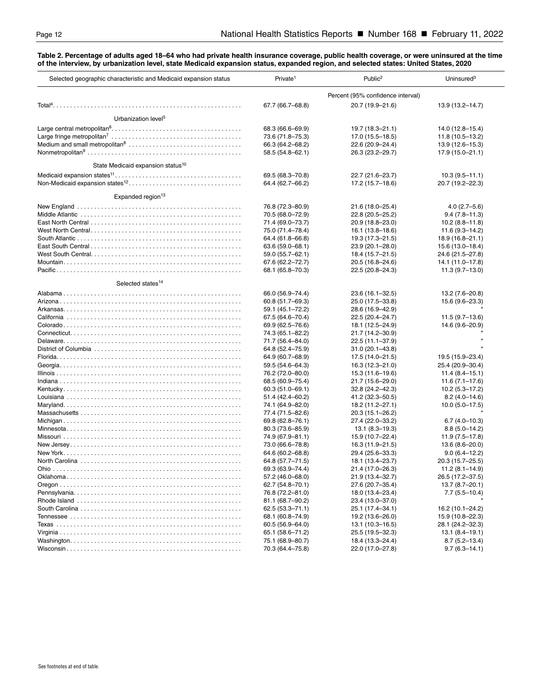#### <span id="page-11-0"></span>**Table 2. Percentage of adults aged 18–64 who had private health insurance coverage, public health coverage, or were uninsured at the time of the interview, by urbanization level, state Medicaid expansion status, expanded region, and selected states: United States, 2020**

| Selected geographic characteristic and Medicaid expansion status | Private <sup>1</sup> | Public <sup>2</sup>               | Uninsured $3$       |
|------------------------------------------------------------------|----------------------|-----------------------------------|---------------------|
|                                                                  |                      | Percent (95% confidence interval) |                     |
|                                                                  | 67.7 (66.7-68.8)     | 20.7 (19.9-21.6)                  | 13.9 (13.2-14.7)    |
| Urbanization level <sup>5</sup>                                  |                      |                                   |                     |
|                                                                  | 68.3 (66.6–69.9)     | 19.7 (18.3-21.1)                  | 14.0 (12.8–15.4)    |
|                                                                  | 73.6 (71.8-75.3)     | 17.0 (15.5-18.5)                  | 11.8 (10.5-13.2)    |
|                                                                  | 66.3 (64.2-68.2)     | 22.6 (20.9-24.4)                  | 13.9 (12.6–15.3)    |
|                                                                  | 58.5 (54.8-62.1)     | 26.3 (23.2-29.7)                  | 17.9 (15.0-21.1)    |
| State Medicaid expansion status <sup>10</sup>                    |                      |                                   |                     |
|                                                                  | 69.5 (68.3-70.8)     | 22.7 (21.6-23.7)                  | $10.3(9.5-11.1)$    |
|                                                                  | 64.4 (62.7-66.2)     | 17.2 (15.7-18.6)                  | 20.7 (19.2-22.3)    |
|                                                                  |                      |                                   |                     |
| Expanded region <sup>13</sup>                                    |                      |                                   |                     |
|                                                                  | 76.8 (72.3-80.9)     | 21.6 (18.0-25.4)                  | $4.0(2.7 - 5.6)$    |
|                                                                  | 70.5 (68.0-72.9)     | 22.8 (20.5-25.2)                  | $9.4(7.8 - 11.3)$   |
|                                                                  | 71.4 (69.0–73.7)     | 20.9 (18.8-23.0)                  | $10.2(8.8 - 11.8)$  |
|                                                                  | 75.0 (71.4–78.4)     | 16.1 (13.8–18.6)                  | $11.6(9.3 - 14.2)$  |
|                                                                  | 64.4 (61.8–66.8)     | 19.3 (17.3-21.5)                  | 18.9 (16.8-21.1)    |
|                                                                  | 63.6 (59.0-68.1)     | 23.9 (20.1-28.0)                  | 15.6 (13.0-18.4)    |
|                                                                  | 59.0 (55.7-62.1)     | 18.4 (15.7-21.5)                  | 24.6 (21.5-27.8)    |
|                                                                  | 67.6 (62.2-72.7)     | 20.5 (16.8-24.6)                  | 14.1 (11.0-17.8)    |
|                                                                  | 68.1 (65.8-70.3)     | 22.5 (20.8-24.3)                  | $11.3(9.7-13.0)$    |
| Selected states <sup>14</sup>                                    |                      |                                   |                     |
|                                                                  | 66.0 (56.9–74.4)     | 23.6 (16.1-32.5)                  | 13.2 (7.6–20.8)     |
|                                                                  | 60.8 (51.7-69.3)     | 25.0 (17.5-33.8)                  | 15.6 (9.6-23.3)     |
|                                                                  | 59.1 (45.1–72.2)     | 28.6 (16.9–42.9)                  |                     |
|                                                                  | 67.5 (64.6-70.4)     | 22.5 (20.4-24.7)                  | $11.5(9.7-13.6)$    |
|                                                                  | 69.9 (62.5–76.6)     | 18.1 (12.5-24.9)                  | 14.6 (9.6-20.9)     |
|                                                                  | 74.3 (65.1-82.2)     | 21.7 (14.2-30.9)                  |                     |
|                                                                  | 71.7 (56.4–84.0)     | 22.5 (11.1-37.9)                  |                     |
|                                                                  | 64.8 (52.4–75.9)     | $31.0(20.1 - 43.8)$               |                     |
|                                                                  | 64.9 (60.7–68.9)     | 17.5 (14.0-21.5)                  | 19.5 (15.9-23.4)    |
|                                                                  | 59.5 (54.6–64.3)     | 16.3 (12.3–21.0)                  | 25.4 (20.9-30.4)    |
|                                                                  | 76.2 (72.0-80.0)     | 15.3 (11.6–19.6)                  | $11.4(8.4-15.1)$    |
|                                                                  | 68.5 (60.9–75.4)     | 21.7 (15.6-29.0)                  | $11.6(7.1 - 17.6)$  |
|                                                                  | $60.3(51.0 - 69.1)$  | $32.8(24.2 - 42.3)$               | $10.2(5.3 - 17.2)$  |
|                                                                  | 51.4 (42.4–60.2)     | 41.2 (32.3–50.5)                  | $8.2(4.0 - 14.6)$   |
|                                                                  | 74.1 (64.9-82.0)     | 18.2 (11.2-27.1)                  | $10.0 (5.0 - 17.5)$ |
|                                                                  | 77.4 (71.5-82.6)     | 20.3 (15.1-26.2)                  |                     |
|                                                                  | 69.8 (62.8-76.1)     | 27.4 (22.0-33.2)                  | $6.7(4.0 - 10.3)$   |
|                                                                  | 80.3 (73.6-85.9)     | $13.1(8.3 - 19.3)$                | $8.8(5.0 - 14.2)$   |
|                                                                  | 74.9 (67.9-81.1)     | 15.9 (10.7-22.4)                  | $11.9(7.5 - 17.8)$  |
|                                                                  | 73.0 (66.6-78.8)     | 16.3 (11.9–21.5)                  | 13.6 (8.6-20.0)     |
|                                                                  | 64.6 (60.2-68.8)     | 29.4 (25.6-33.3)                  | $9.0(6.4 - 12.2)$   |
|                                                                  | 64.8 (57.7-71.5)     | 18.1 (13.4-23.7)                  | 20.3 (15.7-25.5)    |
|                                                                  | 69.3 (63.9-74.4)     | 21.4 (17.0–26.3)                  | $11.2(8.1 - 14.9)$  |
|                                                                  | 57.2 (46.0–68.0)     | 21.9 (13.4-32.7)                  | 26.5 (17.2-37.5)    |
|                                                                  | 62.7 (54.8-70.1)     | 27.6 (20.7-35.4)                  | 13.7 (8.7-20.1)     |
|                                                                  | 76.8 (72.2-81.0)     | 18.0 (13.4–23.4)                  | $7.7(5.5-10.4)$     |
|                                                                  | 81.1 (68.7-90.2)     | 23.4 (13.0–37.0)                  |                     |
|                                                                  | 62.5 (53.3-71.1)     | 25.1 (17.4–34.1)                  | 16.2 (10.1-24.2)    |
|                                                                  | 68.1 (60.8–74.9)     | 19.2 (13.6–26.0)                  | 15.9 (10.8–22.3)    |
|                                                                  | 60.5 (56.9–64.0)     | $13.1(10.3 - 16.5)$               | 28.1 (24.2-32.3)    |
|                                                                  | 65.1 (58.6–71.2)     | 25.5 (19.5–32.3)                  | $13.1 (8.4 - 19.1)$ |
|                                                                  | 75.1 (68.9-80.7)     | 18.4 (13.3-24.4)                  | $8.7(5.2 - 13.4)$   |
|                                                                  | 70.3 (64.4-75.8)     | 22.0 (17.0-27.8)                  | $9.7(6.3 - 14.1)$   |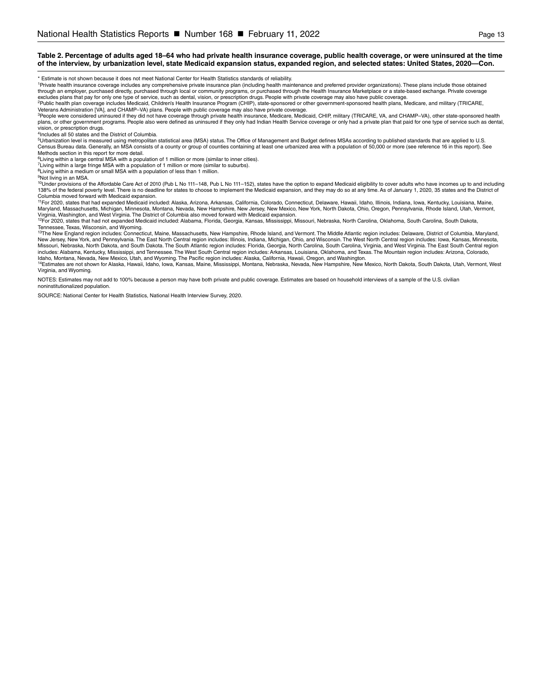#### **Table 2. Percentage of adults aged 18–64 who had private health insurance coverage, public health coverage, or were uninsured at the time of the interview, by urbanization level, state Medicaid expansion status, expanded region, and selected states: United States, 2020—Con.**

\* Estimate is not shown because it does not meet National Center for Health Statistics standards of reliability.<br>'Private health insurance coverage includes any comprehensive private insurance provider organizations). Thes excludes plans that pay for only one type of service, such as dental, vision, or prescription drugs. People with private coverage may also have public coverage.<br><sup>2</sup>Public health plan coverage includes Medicaid, Children's

Veterans Administration [VA], and CHAMP–VA) plans. People with public coverage may also have private coverage.

<sup>3</sup>People were considered uninsured if they did not have coverage through private health insurance, Medicare, Medicaid, CHIP, military (TRICARE, VA, and CHAMP–VA), other state-sponsored health<br>plans, or other government pr .<br>vision, or prescription drugs.

4Includes all 50 states and the District of Columbia.

5<br>5Urbanization level is measured using metropolitan statistical area (MSA) status. The Office of Management and Budget defines MSAs according to published standards that are applied to U.S. Census Bureau data. Generally, an MSA consists of a county or group of counties containing at least one urbanized area with a population of 50,000 or more (see reference 16 in this report). See Methods section in this report for more detail.

6Living within a large central MSA with a population of 1 million or more (similar to inner cities).

<sup>7</sup>Living within a large fringe MSA with a population of 1 million or more (similar to suburbs).

<sup>8</sup>Living within a medium or small MSA with a population of less than 1 million.

<sup>9</sup>Not living in an MSA.

<sup>10</sup>Under provisions of the Affordable Care Act of 2010 (Pub L No 111-148, Pub L No 111-152), states have the option to expand Medicaid eligibility to cover adults who have incomes up to and including 138% of the federal poverty level. There is no deadline for states to choose to implement the Medicaid expansion, and they may do so at any time. As of January 1, 2020, 35 states and the District of Columbia moved forward with Medicaid expansion.

<sup>11</sup>For 2020, states that had expanded Medicaid included: Alaska, Arizona, Arkansas, California, Colorado, Connecticut, Delaware, Hawaii, Idaho, Illinois, Indiana, Iowa, Kentucky, Louisiana, Maine, Maryland, Massachusetts, Michigan, Minnesota, Montana, Nevada, New Hampshire, New Jersey, New Mexico, New York, North Dakota, Ohio, Oregon, Pennsylvania, Rhode Island, Utah, Vermont, Virginia, Washington, and West Virginia. The District of Columbia also moved forward with Medicaid expansion.

<sup>12</sup>For 2020, states that had not expanded Medicaid included: Alabama, Florida, Georgia, Kansas, Mississippi, Missouri, Nebraska, North Carolina, Oklahoma, South Carolina, South Dakota,

Tennessee, Texas, Wisconsin, and Wyoming.<br><sup>13</sup>The New England region includes: Connecticut, Maine, Massachusetts, New Hampshire, Rhode Island, and Vermont. The Middle Atlantic region includes: Delaware, District of Columbi New Jersey, New York, and Pennsylvania. The East North Central region includes: Illinois, Indiana, Michigan, Ohio, and Wisconsin. The West North Central region includes: Iowa, Kansas, Minnesota, Missouri, Nebraska, North Dakota, and South Dakota. The South Atlantic region includes: Florida, Georgia, North Carolina, South Carolina, Virginia, and West Virginia. The East South Central region includes: Alabama, Kentucky, Mississippi, and Tennessee. The West South Central region includes: Arkansas, Louisiana, Oklahoma, and Texas. The Mountain region includes: Arizona, Colorado, Idaho, Montana, Nevada, New Mexico, Utah, and Wyoming. The Pacific region includes: Alaska, California, Hawaii, Oregon, and Washington.

<sup>14</sup>Estimates are not shown for Alaska, Hawaii, Idaho, Iowa, Kansas, Maine, Mississippi, Montana, Nebraska, Newada, New Hampshire, New Mexico, North Dakota, South Dakota, Utah, Vermont, West Virginia, and Wyoming.

NOTES: Estimates may not add to 100% because a person may have both private and public coverage. Estimates are based on household interviews of a sample of the U.S. civilian noninstitutionalized population.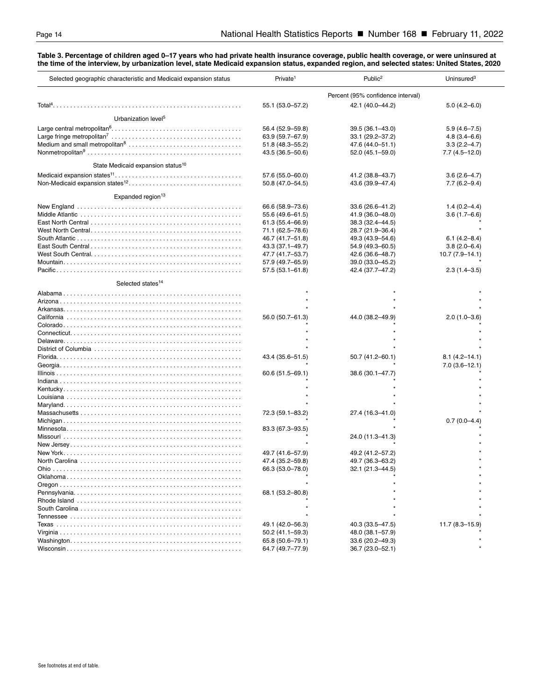<span id="page-13-0"></span>**Table 3. Percentage of children aged 0–17 years who had private health insurance coverage, public health coverage, or were uninsured at the time of the interview, by urbanization level, state Medicaid expansion status, expanded region, and selected states: United States, 2020**

| Selected geographic characteristic and Medicaid expansion status                                                                | Private <sup>1</sup> | Public <sup>2</sup>               | Uninsured <sup>3</sup> |
|---------------------------------------------------------------------------------------------------------------------------------|----------------------|-----------------------------------|------------------------|
|                                                                                                                                 |                      | Percent (95% confidence interval) |                        |
|                                                                                                                                 | 55.1 (53.0-57.2)     | 42.1 (40.0-44.2)                  | $5.0(4.2 - 6.0)$       |
| Urbanization level <sup>5</sup>                                                                                                 |                      |                                   |                        |
|                                                                                                                                 | 56.4 (52.9–59.8)     | 39.5 (36.1-43.0)                  | $5.9(4.6 - 7.5)$       |
|                                                                                                                                 | 63.9 (59.7-67.9)     | 33.1 (29.2-37.2)                  | $4.8(3.4 - 6.6)$       |
|                                                                                                                                 | 51.8 (48.3–55.2)     | 47.6 (44.0–51.1)                  | $3.3(2.2 - 4.7)$       |
|                                                                                                                                 | 43.5 (36.5–50.6)     | 52.0 (45.1–59.0)                  | $7.7(4.5-12.0)$        |
|                                                                                                                                 |                      |                                   |                        |
| State Medicaid expansion status <sup>10</sup>                                                                                   |                      |                                   |                        |
|                                                                                                                                 | 57.6 (55.0-60.0)     | 41.2 (38.8-43.7)                  | $3.6(2.6-4.7)$         |
|                                                                                                                                 | 50.8 (47.0–54.5)     | 43.6 (39.9-47.4)                  | $7.7(6.2 - 9.4)$       |
| Expanded region <sup>13</sup>                                                                                                   |                      |                                   |                        |
|                                                                                                                                 | 66.6 (58.9–73.6)     | 33.6 (26.6-41.2)                  | $1.4(0.2 - 4.4)$       |
|                                                                                                                                 |                      |                                   | $3.6(1.7 - 6.6)$       |
|                                                                                                                                 | 55.6 (49.6–61.5)     | 41.9 (36.0–48.0)                  |                        |
|                                                                                                                                 | 61.3 (55.4–66.9)     | 38.3 (32.4–44.5)                  |                        |
|                                                                                                                                 | 71.1 (62.5–78.6)     | 28.7 (21.9-36.4)                  |                        |
|                                                                                                                                 | 46.7 (41.7–51.8)     | 49.3 (43.9–54.6)                  | $6.1(4.2 - 8.4)$       |
|                                                                                                                                 | 43.3 (37.1–49.7)     | 54.9 (49.3–60.5)                  | $3.8(2.0 - 6.4)$       |
| West South Central. $\ldots$ . $\ldots$ . $\ldots$ . $\ldots$ . $\ldots$ . $\ldots$ . $\ldots$ . $\ldots$ . $\ldots$ . $\ldots$ | 47.7 (41.7–53.7)     | 42.6 (36.6–48.7)                  | $10.7(7.9 - 14.1)$     |
|                                                                                                                                 | 57.9 (49.7–65.9)     | 39.0 (33.0-45.2)                  |                        |
|                                                                                                                                 | 57.5 (53.1-61.8)     | 42.4 (37.7-47.2)                  | $2.3(1.4 - 3.5)$       |
| Selected states <sup>14</sup>                                                                                                   |                      |                                   |                        |
|                                                                                                                                 |                      |                                   |                        |
|                                                                                                                                 |                      |                                   |                        |
|                                                                                                                                 |                      |                                   |                        |
|                                                                                                                                 | 56.0 (50.7-61.3)     | 44.0 (38.2-49.9)                  | $2.0(1.0-3.6)$         |
|                                                                                                                                 |                      |                                   |                        |
|                                                                                                                                 |                      |                                   |                        |
|                                                                                                                                 |                      |                                   |                        |
| District of Columbia                                                                                                            |                      |                                   |                        |
|                                                                                                                                 | 43.4 (35.6–51.5)     | 50.7 (41.2–60.1)                  | $8.1(4.2 - 14.1)$      |
|                                                                                                                                 |                      |                                   | $7.0(3.6-12.1)$        |
|                                                                                                                                 | 60.6 (51.5-69.1)     | 38.6 (30.1-47.7)                  |                        |
|                                                                                                                                 |                      |                                   |                        |
|                                                                                                                                 |                      |                                   |                        |
|                                                                                                                                 |                      |                                   |                        |
|                                                                                                                                 |                      |                                   |                        |
|                                                                                                                                 | 72.3 (59.1-83.2)     | 27.4 (16.3-41.0)                  |                        |
|                                                                                                                                 |                      |                                   | $0.7(0.0-4.4)$         |
|                                                                                                                                 |                      |                                   |                        |
|                                                                                                                                 | 83.3 (67.3–93.5)     |                                   |                        |
|                                                                                                                                 |                      | 24.0 (11.3-41.3)                  |                        |
|                                                                                                                                 |                      |                                   |                        |
|                                                                                                                                 | 49.7 (41.6–57.9)     | 49.2 (41.2–57.2)                  |                        |
|                                                                                                                                 | 47.4 (35.2-59.8)     | 49.7 (36.3-63.2)                  |                        |
| Ohio                                                                                                                            | 66.3 (53.0–78.0)     | 32.1 (21.3–44.5)                  |                        |
|                                                                                                                                 |                      |                                   |                        |
|                                                                                                                                 |                      |                                   |                        |
|                                                                                                                                 | 68.1 (53.2-80.8)     |                                   |                        |
|                                                                                                                                 |                      |                                   |                        |
|                                                                                                                                 |                      |                                   |                        |
|                                                                                                                                 |                      |                                   |                        |
|                                                                                                                                 | 49.1 (42.0–56.3)     | 40.3 (33.5–47.5)                  | $11.7(8.3 - 15.9)$     |
|                                                                                                                                 | 50.2 (41.1–59.3)     | 48.0 (38.1–57.9)                  |                        |
|                                                                                                                                 | 65.8 (50.6–79.1)     | 33.6 (20.2-49.3)                  |                        |
|                                                                                                                                 | 64.7 (49.7–77.9)     | 36.7 (23.0–52.1)                  |                        |
|                                                                                                                                 |                      |                                   |                        |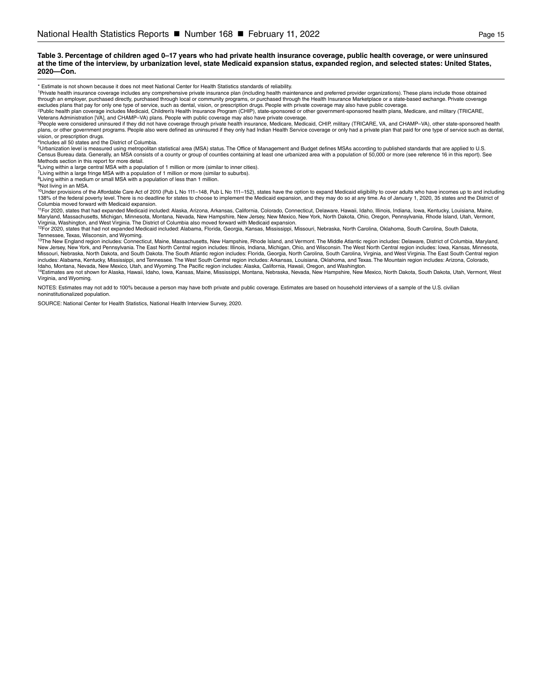#### **Table 3. Percentage of children aged 0–17 years who had private health insurance coverage, public health coverage, or were uninsured at the time of the interview, by urbanization level, state Medicaid expansion status, expanded region, and selected states: United States, 2020—Con.**

\* Estimate is not shown because it does not meet National Center for Health Statistics standards of reliability.

1Private health insurance coverage includes any comprehensive private insurance plan (including health maintenance and preferred provider organizations). These plans include those obtained through an employer, purchased directly, purchased through local or community programs, or purchased through the Health Insurance Marketplace or a state-based exchange. Private coverage excludes plans that pay for only one type of service, such as dental, vision, or prescription drugs. People with private coverage may also have public coverage.<br><sup>2</sup>Public health plan coverage includes Medicaid, Children's

Veterans Administration [VA], and CHAMP–VA) plans. People with public coverage may also have private coverage.

3People were considered uninsured if they did not have coverage through private health insurance, Medicare, Medicaid, CHIP, military (TRICARE, VA, and CHAMP–VA), other state-sponsored health plans, or other government programs. People also were defined as uninsured if they only had Indian Health Service coverage or only had a private plan that paid for one type of service such as dental, vision, or prescription drugs.

4Includes all 50 states and the District of Columbia.

<sup>5</sup>Urbanization level is measured using metropolitan statistical area (MSA) status. The Office of Management and Budget defines MSAs according to published standards that are applied to U.S.<br>Census Bureau data. Generally, Methods section in this report for more detail.

<sup>6</sup>Living within a large central MSA with a population of 1 million or more (similar to inner cities).

<sup>7</sup>Living within a large fringe MSA with a population of 1 million or more (similar to suburbs). <sup>8</sup>Living within a medium or small MSA with a population of less than 1 million.

<sup>9</sup>Not living in an MSA.

<sup>10</sup>Under provisions of the Affordable Care Act of 2010 (Pub L No 111–148, Pub L No 111–152), states have the option to expand Medicaid eligibility to cover adults who have incomes up to and including 138% of the federal poverty level. There is no deadline for states to choose to implement the Medicaid expansion, and they may do so at any time. As of January 1, 2020, 35 states and the District of Columbia moved forward with Medicaid expansion.

11For 2020, states that had expanded Medicaid included: Alaska, Arizona, Arkansas, California, Colorado, Connecticut, Delaware, Hawaii, Idaho, Illinois, Indiana, Iowa, Kentucky, Louisiana, Maine, Maryland, Massachusetts, Michigan, Minnesota, Montana, Nevada, New Hampshire, New Jersey, New Mexico, New York, North Dakota, Ohio, Oregon, Pennsylvania, Rhode Island, Utah, Vermont, Virginia, Washington, and West Virginia. The District of Columbia also moved forward with Medicaid expansion.

12For 2020, states that had not expanded Medicaid included: Alabama, Florida, Georgia, Kansas, Mississippi, Missouri, Nebraska, North Carolina, Oklahoma, South Carolina, South Dakota,

Tennessee, Texas, Wisconsin, and Wyoming.<br><sup>13</sup>The New England region includes: Connecticut, Maine, Massachusetts, New Hampshire, Rhode Island, and Vermont. The Middle Atlantic region includes: Delaware, District of Columbi New Jersey, New York, and Pennsylvania. The East North Central region includes: Illinois, Indiana, Michigan, Ohio, and Wisconsin. The West North Central region includes: Iowa, Kansas, Minnesota, Missouri, Nebraska, North Dakota, and South Dakota. The South Atlantic region includes: Florida, Georgia, North Carolina, South Carolina, Virginia, and West Virginia. The East South Central region includes: Alabama, Kentucky, Mississippi, and Tennessee. The West South Central region includes: Arkansas, Louisiana, Oklahoma, and Texas. The Mountain region includes: Arizona, Colorado,<br>Idaho, Montana, Nevada, New Mexico

14Estimates are not shown for Alaska, Hawaii, Idaho, Iowa, Kansas, Maine, Mississippi, Montana, Nebraska, Nevada, New Hampshire, New Mexico, North Dakota, South Dakota, Utah, Vermont, West Virginia, and Wyoming.

NOTES: Estimates may not add to 100% because a person may have both private and public coverage. Estimates are based on household interviews of a sample of the U.S. civilian noninstitutionalized population.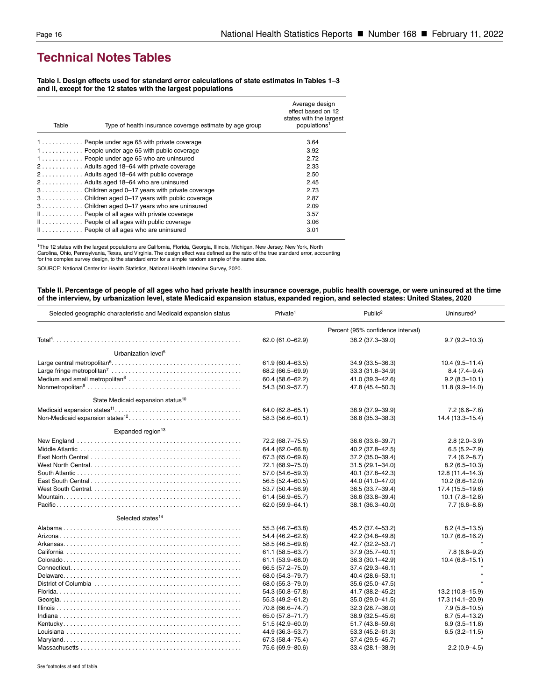## <span id="page-15-0"></span>**Technical Notes Tables**

**Table I. Design effects used for standard error calculations of state estimates in Tables 1–3 and II, except for the 12 states with the largest populations**

| Table | Type of health insurance coverage estimate by age group | Average design<br>effect based on 12<br>states with the largest<br>populations <sup>1</sup> |
|-------|---------------------------------------------------------|---------------------------------------------------------------------------------------------|
|       | 1 People under age 65 with private coverage             | 3.64                                                                                        |
|       | 1 People under age 65 with public coverage              | 3.92                                                                                        |
|       | 1 People under age 65 who are uninsured                 | 2.72                                                                                        |
|       | 2 Adults aged 18–64 with private coverage               | 2.33                                                                                        |
|       | 2 Adults aged 18–64 with public coverage                | 2.50                                                                                        |
|       | 2 Adults aged 18-64 who are uninsured                   | 2.45                                                                                        |
|       | 3Children aged 0-17 years with private coverage         | 2.73                                                                                        |
|       | 3Children aged 0-17 years with public coverage          | 2.87                                                                                        |
|       | 3Children aged 0-17 years who are uninsured             | 2.09                                                                                        |
|       | $\mathbb{I}$ People of all ages with private coverage   | 3.57                                                                                        |
|       | $\mathbb{I}$ People of all ages with public coverage    | 3.06                                                                                        |
|       | II People of all ages who are uninsured                 | 3.01                                                                                        |

1The 12 states with the largest populations are California, Florida, Georgia, Illinois, Michigan, New Jersey, New York, North Carolina, Ohio, Pennsylvania, Texas, and Virginia. The design effect was defined as the ratio of the true standard error, accounting<br>for the complex survey design, to the standard error for a simple random sample of the sa

SOURCE: National Center for Health Statistics, National Health Interview Survey, 2020.

#### **Table II. Percentage of people of all ages who had private health insurance coverage, public health coverage, or were uninsured at the time of the interview, by urbanization level, state Medicaid expansion status, expanded region, and selected states: United States, 2020**

| Selected geographic characteristic and Medicaid expansion status | Private <sup>1</sup>              | Public <sup>2</sup> | Uninsured $3$       |
|------------------------------------------------------------------|-----------------------------------|---------------------|---------------------|
|                                                                  | Percent (95% confidence interval) |                     |                     |
|                                                                  | 62.0 (61.0-62.9)                  | 38.2 (37.3-39.0)    | $9.7(9.2 - 10.3)$   |
| Urbanization level <sup>5</sup>                                  |                                   |                     |                     |
|                                                                  | $61.9(60.4 - 63.5)$               | 34.9 (33.5-36.3)    | $10.4(9.5 - 11.4)$  |
|                                                                  | 68.2 (66.5-69.9)                  | 33.3 (31.8-34.9)    | $8.4(7.4 - 9.4)$    |
|                                                                  | 60.4 (58.6-62.2)                  | 41.0 (39.3-42.6)    | $9.2(8.3 - 10.1)$   |
|                                                                  | 54.3 (50.9-57.7)                  | 47.8 (45.4-50.3)    | $11.8(9.9 - 14.0)$  |
| State Medicaid expansion status <sup>10</sup>                    |                                   |                     |                     |
|                                                                  | 64.0 (62.8-65.1)                  | 38.9 (37.9-39.9)    | $7.2(6.6 - 7.8)$    |
|                                                                  | 58.3 (56.6-60.1)                  | 36.8 (35.3-38.3)    | $14.4(13.3 - 15.4)$ |
| Expanded region <sup>13</sup>                                    |                                   |                     |                     |
|                                                                  | 72.2 (68.7-75.5)                  | 36.6 (33.6-39.7)    | $2.8(2.0-3.9)$      |
|                                                                  | 64.4 (62.0-66.8)                  | 40.2 (37.8-42.5)    | $6.5(5.2 - 7.9)$    |
|                                                                  | 67.3 (65.0-69.6)                  | 37.2 (35.0-39.4)    | $7.4(6.2 - 8.7)$    |
|                                                                  | 72.1 (68.9-75.0)                  | $31.5(29.1 - 34.0)$ | $8.2(6.5 - 10.3)$   |
|                                                                  | 57.0 (54.6-59.3)                  | 40.1 (37.8-42.3)    | 12.8 (11.4-14.3)    |
|                                                                  | 56.5 (52.4-60.5)                  | 44.0 (41.0-47.0)    | $10.2(8.6 - 12.0)$  |
|                                                                  | 53.7 (50.4-56.9)                  | 36.5 (33.7-39.4)    | 17.4 (15.5–19.6)    |
|                                                                  | 61.4 (56.9-65.7)                  | 36.6 (33.8-39.4)    | $10.1(7.8-12.8)$    |
|                                                                  | 62.0 (59.9-64.1)                  | 38.1 (36.3-40.0)    | $7.7(6.6 - 8.8)$    |
| Selected states <sup>14</sup>                                    |                                   |                     |                     |
|                                                                  | 55.3 (46.7-63.8)                  | 45.2 (37.4-53.2)    | $8.2(4.5 - 13.5)$   |
|                                                                  | 54.4 (46.2-62.6)                  | 42.2 (34.8-49.8)    | $10.7(6.6 - 16.2)$  |
|                                                                  | 58.5 (46.5-69.8)                  | 42.7 (32.2-53.7)    |                     |
|                                                                  | $61.1(58.5 - 63.7)$               | 37.9 (35.7-40.1)    | $7.8(6.6 - 9.2)$    |
|                                                                  | 61.1 (53.9-68.0)                  | 36.3 (30.1-42.9)    | $10.4(6.8 - 15.1)$  |
|                                                                  | 66.5 (57.2-75.0)                  | 37.4 (29.3-46.1)    |                     |
|                                                                  | 68.0 (54.3-79.7)                  | 40.4 (28.6-53.1)    |                     |
|                                                                  | 68.0 (55.3-79.0)                  | 35.6 (25.0-47.5)    |                     |
|                                                                  | 54.3 (50.8-57.8)                  | 41.7 (38.2-45.2)    | 13.2 (10.8-15.9)    |
|                                                                  | 55.3 (49.2-61.2)                  | 35.0 (29.0-41.5)    | 17.3 (14.1-20.9)    |
|                                                                  | 70.8 (66.6-74.7)                  | 32.3 (28.7-36.0)    | $7.9(5.8 - 10.5)$   |
|                                                                  | 65.0 (57.8-71.7)                  | 38.9 (32.5-45.6)    | $8.7(5.4 - 13.2)$   |
|                                                                  | 51.5 (42.9-60.0)                  | 51.7 (43.8-59.6)    | $6.9(3.5 - 11.8)$   |
|                                                                  | 44.9 (36.3-53.7)                  | $53.3(45.2 - 61.3)$ | $6.5(3.2 - 11.5)$   |
|                                                                  | 67.3 (58.4-75.4)                  | 37.4 (29.5-45.7)    |                     |
|                                                                  | 75.6 (69.9-80.6)                  | 33.4 (28.1-38.9)    | $2.2(0.9-4.5)$      |

See footnotes at end of table.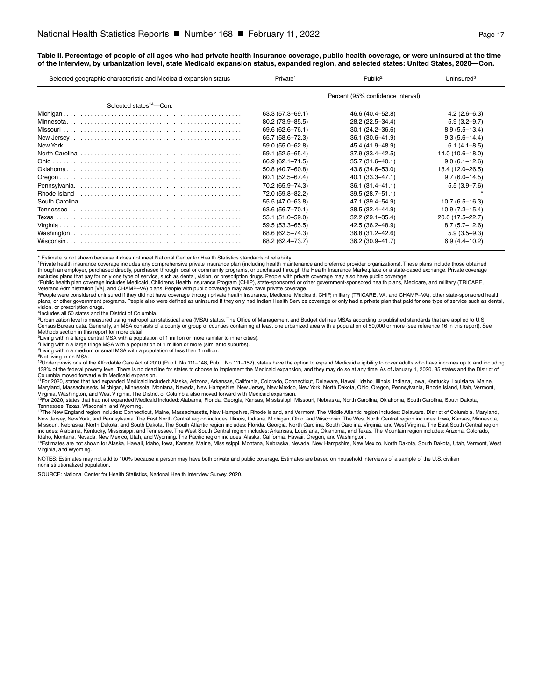#### **Table II. Percentage of people of all ages who had private health insurance coverage, public health coverage, or were uninsured at the time of the interview, by urbanization level, state Medicaid expansion status, expanded region, and selected states: United States, 2020—Con.**

| Selected geographic characteristic and Medicaid expansion status | Private <sup>1</sup>              | Public <sup>2</sup> | Uninsured $3$      |
|------------------------------------------------------------------|-----------------------------------|---------------------|--------------------|
|                                                                  | Percent (95% confidence interval) |                     |                    |
| Selected states <sup>14</sup> -Con.                              |                                   |                     |                    |
|                                                                  | 63.3 (57.3–69.1)                  | 46.6 (40.4–52.8)    | $4.2(2.6 - 6.3)$   |
|                                                                  | 80.2 (73.9-85.5)                  | 28.2 (22.5-34.4)    | $5.9(3.2 - 9.7)$   |
|                                                                  | 69.6 (62.6-76.1)                  | $30.1(24.2 - 36.6)$ | $8.9(5.5 - 13.4)$  |
|                                                                  | 65.7 (58.6-72.3)                  | 36.1 (30.6-41.9)    | $9.3(5.6 - 14.4)$  |
|                                                                  | 59.0 (55.0-62.8)                  | 45.4 (41.9-48.9)    | $6.1(4.1 - 8.5)$   |
|                                                                  | 59.1 (52.5-65.4)                  | 37.9 (33.4-42.5)    | 14.0 (10.6-18.0)   |
|                                                                  | 66.9 (62.1-71.5)                  | 35.7 (31.6-40.1)    | $9.0(6.1 - 12.6)$  |
|                                                                  | 50.8 (40.7-60.8)                  | 43.6 (34.6-53.0)    | 18.4 (12.0-26.5)   |
|                                                                  | $60.1(52.5 - 67.4)$               | 40.1 (33.3-47.1)    | $9.7(6.0 - 14.5)$  |
|                                                                  | 70.2 (65.9-74.3)                  | $36.1(31.4 - 41.1)$ | $5.5(3.9 - 7.6)$   |
|                                                                  | 72.0 (59.8-82.2)                  | $39.5(28.7 - 51.1)$ |                    |
|                                                                  | 55.5 (47.0-63.8)                  | 47.1 (39.4-54.9)    | $10.7(6.5 - 16.3)$ |
|                                                                  | 63.6 (56.7-70.1)                  | 38.5 (32.4-44.9)    | $10.9(7.3 - 15.4)$ |
|                                                                  | 55.1 (51.0-59.0)                  | $32.2(29.1 - 35.4)$ | 20.0 (17.5-22.7)   |
|                                                                  | 59.5 (53.3-65.5)                  | 42.5 (36.2–48.9)    | $8.7(5.7-12.6)$    |
|                                                                  | 68.6 (62.5–74.3)                  | 36.8 (31.2-42.6)    | $5.9(3.5 - 9.3)$   |
|                                                                  | 68.2 (62.4-73.7)                  | 36.2 (30.9-41.7)    | $6.9(4.4 - 10.2)$  |

\* Estimate is not shown because it does not meet National Center for Health Statistics standards of reliability.

1Private health insurance coverage includes any comprehensive private insurance plan (including health maintenance and preferred provider organizations). These plans include those obtained through an employer, purchased directly, purchased through local or community programs, or purchased through the Health Insurance Marketplace or a state-based exchange. Private coverage excludes plans that pay for only one type of service, such as dental, vision, or prescription drugs. People with private coverage may also have public coverage.<br><sup>2</sup>Public health plan coverage includes Medicaid, Children's

Veterans Administration [VA], and CHAMP–VA) plans. People with public coverage may also have private coverage.

<sup>3</sup>People were considered uninsured if they did not have coverage through private health insurance, Medicare, Medicaid, CHIP, military (TRICARE, VA, and CHAMP–VA), other state-sponsored health<br>plans, or other government pr vision, or prescription drugs.

4Includes all 50 states and the District of Columbia.

5Urbanization level is measured using metropolitan statistical area (MSA) status. The Office of Management and Budget defines MSAs according to published standards that are applied to U.S. Census Bureau data. Generally, an MSA consists of a county or group of counties containing at least one urbanized area with a population of 50,000 or more (see reference 16 in this report). See Methods section in this report for more detail.

<sup>6</sup>Living within a large central MSA with a population of 1 million or more (similar to inner cities).

<sup>7</sup>Living within a large fringe MSA with a population of 1 million or more (similar to suburbs).

<sup>8</sup>Living within a medium or small MSA with a population of less than 1 million.

9Not living in an MSA.

<sup>10</sup>Under provisions of the Affordable Care Act of 2010 (Pub L No 111–148, Pub L No 111–152), states have the option to expand Medicaid eligibility to cover adults who have incomes up to and including 138% of the federal poverty level. There is no deadline for states to choose to implement the Medicaid expansion, and they may do so at any time. As of January 1, 2020, 35 states and the District of

Columbia moved forward with Medicaid expansion.<br><sup>11</sup>For 2020, states that had expanded Medicaid included: Alaska, Arizona, Arkansas, California, Colorado, Connecticut, Delaware, Hawaii, Idaho, Illinois, Indiana, Iowa, Kent Maryland, Massachusetts, Michigan, Minnesota, Montana, Nevada, New Hampshire, New Jersey, New Mexico, New York, North Dakota, Ohio, Oregon, Pennsylvania, Rhode Island, Utah, Vermont,

Virginia, Washington, and West Virginia. The District of Columbia also moved forward with Medicaid expansion.<br><sup>12</sup>For 2020, states that had not expanded Medicaid included: Alabama, Florida, Georgia, Kansas, Mississippi, Mi

Tennessee, Texas, Wisconsin, and Wyoming.<br><sup>19</sup>The New England region includes: Connecticut, Maine, Massachusetts, New Hampshire, Rhode Island, and Vermont. The Middle Atlantic region includes: Delaware, District of Columbi Missouri, Nebraska, North Dakota, and South Dakota. The South Atlantic region includes: Florida, Georgia, North Carolina, South Carolina, Virginia, and West Virginia. The East South Central region includes: Alabama, Kentucky, Mississippi, and Tennessee. The West South Central region includes: Arkansas, Louisiana, Oklahoma, and Texas. The Mountain region includes: Arizona, Colorado,<br>Idaho, Montana, Nevada, New Mexico

14Estimates are not shown for Alaska, Hawaii, Idaho, Iowa, Kansas, Maine, Mississippi, Montana, Nebraska, Nevada, New Hampshire, New Mexico, North Dakota, South Dakota, Utah, Vermont, West Virginia, and Wyoming.

NOTES: Estimates may not add to 100% because a person may have both private and public coverage. Estimates are based on household interviews of a sample of the U.S. civilian noninstitutionalized population.